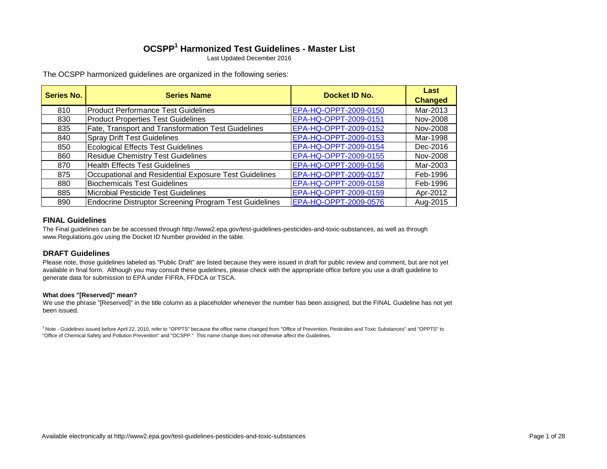# **OCSPP<sup>1</sup> Harmonized Test Guidelines - Master List**

Last Updated December 2016

The OCSPP harmonized guidelines are organized in the following series:

| <b>Series No.</b> | <b>Series Name</b>                                            | Docket ID No.         | Last<br><b>Changed</b> |
|-------------------|---------------------------------------------------------------|-----------------------|------------------------|
| 810               | <b>Product Performance Test Guidelines</b>                    | EPA-HQ-OPPT-2009-0150 | Mar-2013               |
| 830               | <b>Product Properties Test Guidelines</b>                     | EPA-HQ-OPPT-2009-0151 | Nov-2008               |
| 835               | <b>Fate, Transport and Transformation Test Guidelines</b>     | EPA-HQ-OPPT-2009-0152 | Nov-2008               |
| 840               | <b>Spray Drift Test Guidelines</b>                            | EPA-HQ-OPPT-2009-0153 | Mar-1998               |
| 850               | <b>Ecological Effects Test Guidelines</b>                     | EPA-HQ-OPPT-2009-0154 | Dec-2016               |
| 860               | <b>Residue Chemistry Test Guidelines</b>                      | EPA-HQ-OPPT-2009-0155 | Nov-2008               |
| 870               | <b>Health Effects Test Guidelines</b>                         | EPA-HQ-OPPT-2009-0156 | Mar-2003               |
| 875               | Occupational and Residential Exposure Test Guidelines         | EPA-HQ-OPPT-2009-0157 | Feb-1996               |
| 880               | <b>Biochemicals Test Guidelines</b>                           | EPA-HQ-OPPT-2009-0158 | Feb-1996               |
| 885               | Microbial Pesticide Test Guidelines                           | EPA-HQ-OPPT-2009-0159 | Apr-2012               |
| 890               | <b>Endocrine Distruptor Screening Program Test Guidelines</b> | EPA-HQ-OPPT-2009-0576 | Aug-2015               |

### **FINAL Guidelines**

The Final guidelines can be be accessed through http://www2.epa.gov/test-guidelines-pesticides-and-toxic-substances, as well as through www.Regulations.gov using the Docket ID Number provided in the table.

### **DRAFT Guidelines**

Please note, those guidelines labeled as "Public Draft" are listed because they were issued in draft for public review and comment, but are not yet available in final form. Although you may consult these guidelines, please check with the appropriate office before you use a draft guideline to generate data for submission to EPA under FIFRA, FFDCA or TSCA.

#### **What does "[Reserved]" mean?**

We use the phrase "[Reserved]" in the title column as a placeholder whenever the number has been assigned, but the FINAL Guideline has not yet been issued.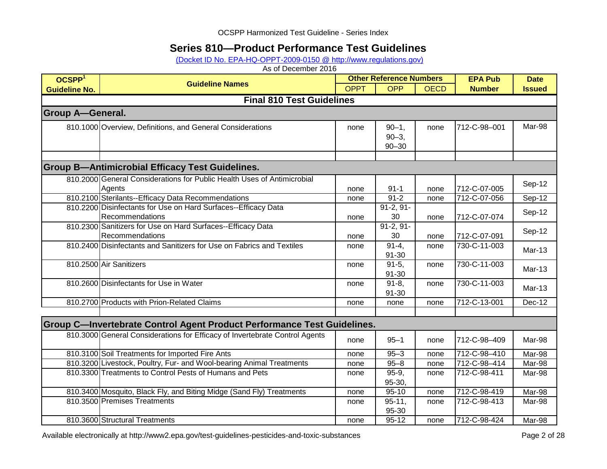## **Series 810—Product Performance Test Guidelines**

[\(Docket ID No. EPA-HQ-OPPT-2009-0150 @ http://www.regulations.gov\)](http://www.regulations.gov/#!docketDetail;dct=FR+PR+N+O+SR;rpp=10;po=0;D=EPA-HQ-OPPT-2009-0150)

As of December 2016

| OCSPP <sup>1</sup>      | <b>Guideline Names</b>                                                      |             | <b>Other Reference Numbers</b> |             | <b>EPA Pub</b> | <b>Date</b>                |
|-------------------------|-----------------------------------------------------------------------------|-------------|--------------------------------|-------------|----------------|----------------------------|
| <b>Guideline No.</b>    |                                                                             | <b>OPPT</b> | <b>OPP</b>                     | <b>OECD</b> | <b>Number</b>  | <b>Issued</b>              |
|                         | <b>Final 810 Test Guidelines</b>                                            |             |                                |             |                |                            |
| <b>Group A-General.</b> |                                                                             |             |                                |             |                |                            |
|                         | 810.1000 Overview, Definitions, and General Considerations                  | none        | $90 - 1$ ,                     | none        | 712-C-98-001   | Mar-98                     |
|                         |                                                                             |             | $90 - 3$ ,                     |             |                |                            |
|                         |                                                                             |             | $90 - 30$                      |             |                |                            |
|                         |                                                                             |             |                                |             |                |                            |
|                         | <b>Group B-Antimicrobial Efficacy Test Guidelines.</b>                      |             |                                |             |                |                            |
|                         | 810.2000 General Considerations for Public Health Uses of Antimicrobial     |             |                                |             |                |                            |
|                         | Agents                                                                      | none        | $91 - 1$                       | none        | 712-C-07-005   | Sep-12                     |
|                         | 810.2100 Sterilants--Efficacy Data Recommendations                          | none        | $91 - 2$                       | none        | 712-C-07-056   | Sep-12                     |
|                         | 810.2200 Disinfectants for Use on Hard Surfaces--Efficacy Data              |             | $91-2, 91-$                    |             |                | Sep-12                     |
|                         | Recommendations                                                             | none        | 30                             | none        | 712-C-07-074   |                            |
|                         | 810.2300 Sanitizers for Use on Hard Surfaces--Efficacy Data                 |             | $91-2, 91-$                    |             |                | Sep-12                     |
|                         | Recommendations                                                             | none        | 30                             | none        | 712-C-07-091   |                            |
|                         | 810.2400 Disinfectants and Sanitizers for Use on Fabrics and Textiles       | none        | $91 - 4,$                      | none        | 730-C-11-003   | <b>Mar-13</b>              |
|                         |                                                                             |             | 91-30                          |             |                |                            |
|                         | 810.2500 Air Sanitizers                                                     | none        | $91-5,$                        | none        | 730-C-11-003   | <b>Mar-13</b>              |
|                         | 810.2600 Disinfectants for Use in Water                                     |             | 91-30<br>$91 - 8,$             |             | 730-C-11-003   |                            |
|                         |                                                                             | none        | 91-30                          | none        |                | <b>Mar-13</b>              |
|                         | 810.2700 Products with Prion-Related Claims                                 | none        | none                           | none        | 712-C-13-001   | Dec-12                     |
|                         |                                                                             |             |                                |             |                |                            |
|                         | Group C-Invertebrate Control Agent Product Performance Test Guidelines.     |             |                                |             |                |                            |
|                         | 810.3000 General Considerations for Efficacy of Invertebrate Control Agents |             |                                |             |                |                            |
|                         |                                                                             | none        | $95 - 1$                       | none        | 712-C-98-409   | Mar-98                     |
|                         | 810.3100 Soil Treatments for Imported Fire Ants                             | none        | $95 - 3$                       | none        | 712-C-98-410   | Mar-98                     |
|                         | 810.3200 Livestock, Poultry, Fur- and Wool-bearing Animal Treatments        | none        | $95 - 8$                       | none        | 712-C-98-414   | Mar-98                     |
|                         | 810.3300 Treatments to Control Pests of Humans and Pets                     | none        | $95-9,$                        | none        | 712-C-98-411   | Mar-98                     |
|                         |                                                                             |             | 95-30,                         |             |                |                            |
|                         | 810.3400 Mosquito, Black Fly, and Biting Midge (Sand Fly) Treatments        | none        | $95 - 10$                      | none        | 712-C-98-419   | Mar-98                     |
|                         | 810.3500 Premises Treatments                                                | none        | $95 - 11,$                     | none        | 712-C-98-413   | Mar-98                     |
|                         |                                                                             |             | 95-30                          |             |                |                            |
|                         | 810.3600 Structural Treatments                                              | none        | $95 - 12$                      | none        | 712-C-98-424   | $\overline{\text{Mar-98}}$ |

Available electronically at http://www2.epa.gov/test-guidelines-pesticides-and-toxic-substances Page 2 of 28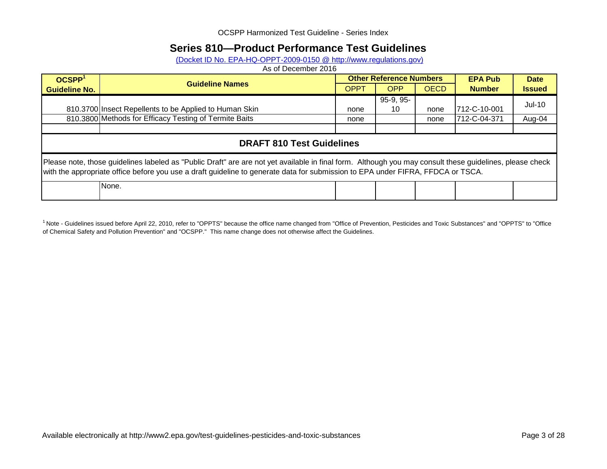## **Series 810—Product Performance Test Guidelines**

(Docket ID No. EPA-HQ-OPPT-2009-0150 @ http://www.regulations.gov)

As of December 2016

| OCSPP <sup>1</sup>                                                                                                                                                                                                                                                                          | <b>Other Reference Numbers</b><br><b>Guideline Names</b> |             |                   |             | <b>EPA Pub</b> | <b>Date</b>   |
|---------------------------------------------------------------------------------------------------------------------------------------------------------------------------------------------------------------------------------------------------------------------------------------------|----------------------------------------------------------|-------------|-------------------|-------------|----------------|---------------|
| <b>Guideline No.</b>                                                                                                                                                                                                                                                                        |                                                          | <b>OPPT</b> | <b>OPP</b>        | <b>OECD</b> | <b>Number</b>  | <b>Issued</b> |
|                                                                                                                                                                                                                                                                                             | 810.3700 Insect Repellents to be Applied to Human Skin   | none        | $95-9, 95-$<br>10 | none        | 712-C-10-001   | $Jul-10$      |
|                                                                                                                                                                                                                                                                                             | 810.3800 Methods for Efficacy Testing of Termite Baits   | none        |                   | none        | 712-C-04-371   | Aug-04        |
|                                                                                                                                                                                                                                                                                             |                                                          |             |                   |             |                |               |
|                                                                                                                                                                                                                                                                                             | <b>DRAFT 810 Test Guidelines</b>                         |             |                   |             |                |               |
| Please note, those guidelines labeled as "Public Draft" are are not yet available in final form. Although you may consult these guidelines, please check<br>with the appropriate office before you use a draft guideline to generate data for submission to EPA under FIFRA, FFDCA or TSCA. |                                                          |             |                   |             |                |               |
|                                                                                                                                                                                                                                                                                             | None.                                                    |             |                   |             |                |               |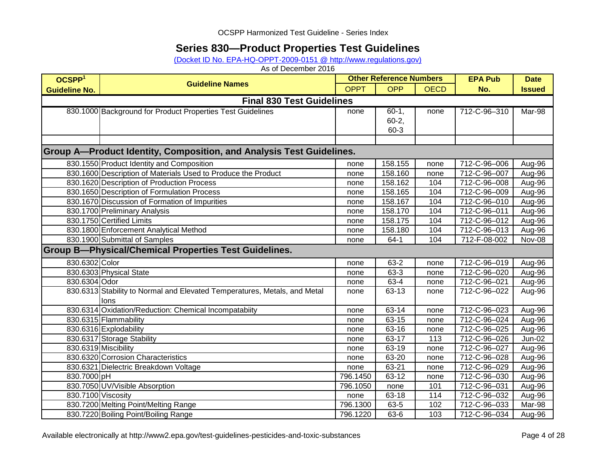## **Series 830—Product Properties Test Guidelines**

[\(Docket ID No. EPA-HQ-OPPT-2009-0151 @ http://www.regulations.gov\)](http://www.regulations.gov/#!docketDetail;dct=FR+PR+N+O+SR;rpp=10;po=0;D=EPA-HQ-OPPT-2009-0151)

| OCSPP <sup>1</sup>   |                                                                             | <b>Other Reference Numbers</b> |            |             | <b>EPA Pub</b> | <b>Date</b>   |
|----------------------|-----------------------------------------------------------------------------|--------------------------------|------------|-------------|----------------|---------------|
| <b>Guideline No.</b> | <b>Guideline Names</b>                                                      | <b>OPPT</b>                    | <b>OPP</b> | <b>OECD</b> | No.            | <b>Issued</b> |
|                      | <b>Final 830 Test Guidelines</b>                                            |                                |            |             |                |               |
|                      | 830.1000 Background for Product Properties Test Guidelines                  | none                           | $60-1,$    | none        | 712-C-96-310   | Mar-98        |
|                      |                                                                             |                                | $60 - 2,$  |             |                |               |
|                      |                                                                             |                                | 60-3       |             |                |               |
|                      |                                                                             |                                |            |             |                |               |
|                      | <b>Group A—Product Identity, Composition, and Analysis Test Guidelines.</b> |                                |            |             |                |               |
|                      | 830.1550 Product Identity and Composition                                   | none                           | 158.155    | none        | 712-C-96-006   | Aug-96        |
|                      | 830.1600 Description of Materials Used to Produce the Product               | none                           | 158.160    | none        | 712-C-96-007   | Aug-96        |
|                      | 830.1620 Description of Production Process                                  | none                           | 158.162    | 104         | 712-C-96-008   | Aug-96        |
|                      | 830.1650 Description of Formulation Process                                 | none                           | 158.165    | 104         | 712-C-96-009   | Aug-96        |
|                      | 830.1670 Discussion of Formation of Impurities                              | none                           | 158.167    | 104         | 712-C-96-010   | Aug-96        |
|                      | 830.1700 Preliminary Analysis                                               | none                           | 158.170    | 104         | 712-C-96-011   | Aug-96        |
|                      | 830.1750 Certified Limits                                                   | none                           | 158.175    | 104         | 712-C-96-012   | Aug-96        |
|                      | 830.1800 Enforcement Analytical Method                                      | none                           | 158.180    | 104         | 712-C-96-013   | Aug-96        |
|                      | 830.1900 Submittal of Samples                                               | none                           | $64-1$     | 104         | 712-F-08-002   | Nov-08        |
|                      | <b>Group B-Physical/Chemical Properties Test Guidelines.</b>                |                                |            |             |                |               |
| 830.6302 Color       |                                                                             | none                           | 63-2       | none        | 712-C-96-019   | Aug-96        |
|                      | 830.6303 Physical State                                                     | none                           | 63-3       | none        | 712-C-96-020   | Aug-96        |
| 830.6304 Odor        |                                                                             | none                           | 63-4       | none        | 712-C-96-021   | Aug-96        |
|                      | 830.6313 Stability to Normal and Elevated Temperatures, Metals, and Metal   | none                           | 63-13      | none        | 712-C-96-022   | Aug-96        |
|                      | lons                                                                        |                                |            |             |                |               |
|                      | 830.6314 Oxidation/Reduction: Chemical Incompatabiity                       | none                           | 63-14      | none        | 712-C-96-023   | Aug-96        |
|                      | 830.6315 Flammability                                                       | none                           | 63-15      | none        | 712-C-96-024   | Aug-96        |
|                      | 830.6316 Explodability                                                      | none                           | 63-16      | none        | 712-C-96-025   | Aug-96        |
|                      | 830.6317 Storage Stability                                                  | none                           | 63-17      | 113         | 712-C-96-026   | <b>Jun-02</b> |
|                      | 830.6319 Miscibility                                                        | none                           | 63-19      | none        | 712-C-96-027   | Aug-96        |
|                      | 830.6320 Corrosion Characteristics                                          | none                           | 63-20      | none        | 712-C-96-028   | Aug-96        |
|                      | 830.6321 Dielectric Breakdown Voltage                                       | none                           | 63-21      | none        | 712-C-96-029   | Aug-96        |
| 830.7000 pH          |                                                                             | 796.1450                       | 63-12      | none        | 712-C-96-030   | Aug-96        |
|                      | 830.7050 UV/Visible Absorption                                              | 796.1050                       | none       | 101         | 712-C-96-031   | Aug-96        |
| 830.7100 Viscosity   |                                                                             | none                           | 63-18      | 114         | 712-C-96-032   | Aug-96        |
|                      | 830.7200 Melting Point/Melting Range                                        | 796.1300                       | 63-5       | 102         | 712-C-96-033   | Mar-98        |
|                      | 830.7220 Boiling Point/Boiling Range                                        | 796.1220                       | 63-6       | 103         | 712-C-96-034   | Aug-96        |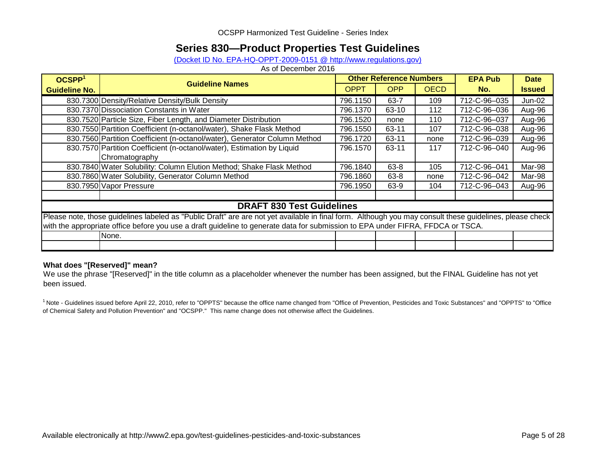## **Series 830—Product Properties Test Guidelines**

(Docket ID No. EPA-HQ-OPPT-2009-0151 @ http://www.regulations.gov)

As of December 2016

| OCSPP <sup>1</sup>   | <b>Guideline Names</b>                                                                                                                                   | <b>Other Reference Numbers</b> |            |             | <b>EPA Pub</b> | <b>Date</b>   |
|----------------------|----------------------------------------------------------------------------------------------------------------------------------------------------------|--------------------------------|------------|-------------|----------------|---------------|
| <b>Guideline No.</b> |                                                                                                                                                          | <b>OPPT</b>                    | <b>OPP</b> | <b>OECD</b> | No.            | <b>Issued</b> |
|                      | 830.7300 Density/Relative Density/Bulk Density                                                                                                           | 796.1150                       | $63 - 7$   | 109         | 712-C-96-035   | Jun-02        |
|                      | 830.7370 Dissociation Constants in Water                                                                                                                 | 796.1370                       | 63-10      | 112         | 712-C-96-036   | Aug-96        |
|                      | 830.7520 Particle Size, Fiber Length, and Diameter Distribution                                                                                          | 796.1520                       | none       | 110         | 712-C-96-037   | Aug-96        |
|                      | 830.7550 Partition Coefficient (n-octanol/water), Shake Flask Method                                                                                     | 796.1550                       | 63-11      | 107         | 712-C-96-038   | Aug-96        |
|                      | 830.7560 Partition Coefficient (n-octanol/water), Generator Column Method                                                                                | 796.1720                       | $63 - 11$  | none        | 712-C-96-039   | Aug-96        |
|                      | 830.7570 Partition Coefficient (n-octanol/water), Estimation by Liquid                                                                                   | 796.1570                       | 63-11      | 117         | 712-C-96-040   | Aug-96        |
|                      | Chromatography                                                                                                                                           |                                |            |             |                |               |
|                      | 830.7840 Water Solubility: Column Elution Method; Shake Flask Method                                                                                     | 796.1840                       | $63 - 8$   | 105         | 712-C-96-041   | Mar-98        |
|                      | 830.7860 Water Solubility, Generator Column Method                                                                                                       | 796.1860                       | $63 - 8$   | none        | 712-C-96-042   | Mar-98        |
|                      | 830.7950 Vapor Pressure                                                                                                                                  | 796.1950                       | 63-9       | 104         | 712-C-96-043   | Aug-96        |
|                      |                                                                                                                                                          |                                |            |             |                |               |
|                      | <b>DRAFT 830 Test Guidelines</b>                                                                                                                         |                                |            |             |                |               |
|                      | Please note, those guidelines labeled as "Public Draft" are are not yet available in final form. Although you may consult these guidelines, please check |                                |            |             |                |               |
|                      | with the appropriate office before you use a draft guideline to generate data for submission to EPA under FIFRA, FFDCA or TSCA.                          |                                |            |             |                |               |
|                      | None.                                                                                                                                                    |                                |            |             |                |               |
|                      |                                                                                                                                                          |                                |            |             |                |               |

#### **What does "[Reserved]" mean?**

We use the phrase "[Reserved]" in the title column as a placeholder whenever the number has been assigned, but the FINAL Guideline has not yet been issued.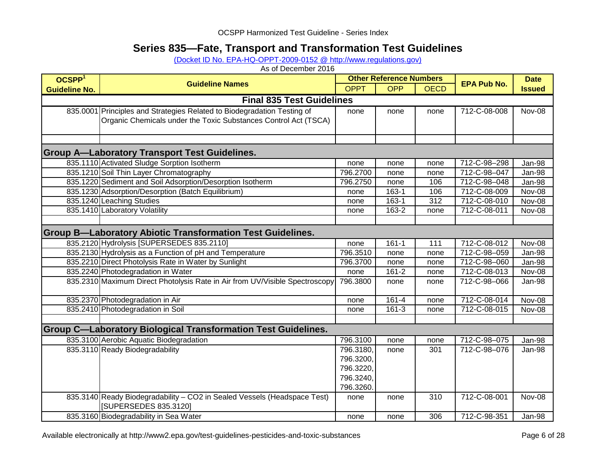# **Series 835—Fate, Transport and Transformation Test Guidelines**

[\(Docket ID No. EPA-HQ-OPPT-2009-0152 @ http://www.regulations.gov\)](http://www.regulations.gov/#!docketDetail;dct=FR+PR+N+O+SR;rpp=10;po=0;D=EPA-HQ-OPPT-2009-0152)

As of December 2016

| OCSPP <sup>1</sup>   | <b>Guideline Names</b>                                                      | <b>Other Reference Numbers</b> |            |             | <b>EPA Pub No.</b> | <b>Date</b>   |
|----------------------|-----------------------------------------------------------------------------|--------------------------------|------------|-------------|--------------------|---------------|
| <b>Guideline No.</b> |                                                                             | <b>OPPT</b>                    | <b>OPP</b> | <b>OECD</b> |                    | <b>Issued</b> |
|                      | <b>Final 835 Test Guidelines</b>                                            |                                |            |             |                    |               |
|                      | 835.0001 Principles and Strategies Related to Biodegradation Testing of     | none                           | none       | none        | 712-C-08-008       | Nov-08        |
|                      | Organic Chemicals under the Toxic Substances Control Act (TSCA)             |                                |            |             |                    |               |
|                      |                                                                             |                                |            |             |                    |               |
|                      |                                                                             |                                |            |             |                    |               |
|                      | <b>Group A-Laboratory Transport Test Guidelines.</b>                        |                                |            |             |                    |               |
|                      | 835.1110 Activated Sludge Sorption Isotherm                                 | none                           | none       | none        | 712-C-98-298       | Jan-98        |
|                      | 835.1210 Soil Thin Layer Chromatography                                     | 796.2700                       | none       | none        | 712-C-98-047       | Jan-98        |
|                      | 835.1220 Sediment and Soil Adsorption/Desorption Isotherm                   | 796.2750                       | none       | 106         | 712-C-98-048       | Jan-98        |
|                      | 835.1230 Adsorption/Desorption (Batch Equilibrium)                          | none                           | 163-1      | 106         | 712-C-08-009       | Nov-08        |
|                      | 835.1240 Leaching Studies                                                   | none                           | 163-1      | 312         | 712-C-08-010       | Nov-08        |
|                      | 835.1410 Laboratory Volatility                                              | none                           | 163-2      | none        | 712-C-08-011       | Nov-08        |
|                      |                                                                             |                                |            |             |                    |               |
|                      | <b>Group B-Laboratory Abiotic Transformation Test Guidelines.</b>           |                                |            |             |                    |               |
|                      | 835.2120 Hydrolysis [SUPERSEDES 835.2110]                                   | none                           | $161 - 1$  | 111         | 712-C-08-012       | Nov-08        |
|                      | 835.2130 Hydrolysis as a Function of pH and Temperature                     | 796.3510                       | none       | none        | 712-C-98-059       | Jan-98        |
|                      | 835.2210 Direct Photolysis Rate in Water by Sunlight                        | 796.3700                       | none       | none        | 712-C-98-060       | Jan-98        |
|                      | 835.2240 Photodegradation in Water                                          | none                           | $161 - 2$  | none        | 712-C-08-013       | Nov-08        |
|                      | 835.2310 Maximum Direct Photolysis Rate in Air from UV/Visible Spectroscopy | 796.3800                       | none       | none        | 712-C-98-066       | Jan-98        |
|                      |                                                                             |                                |            |             |                    |               |
|                      | 835.2370 Photodegradation in Air                                            | none                           | $161 - 4$  | none        | 712-C-08-014       | Nov-08        |
|                      | 835.2410 Photodegradation in Soil                                           | none                           | $161-3$    | none        | 712-C-08-015       | Nov-08        |
|                      |                                                                             |                                |            |             |                    |               |
|                      | <b>Group C-Laboratory Biological Transformation Test Guidelines.</b>        |                                |            |             |                    |               |
|                      | 835.3100 Aerobic Aquatic Biodegradation                                     | 796.3100                       | none       | none        | 712-C-98-075       | Jan-98        |
|                      | 835.3110 Ready Biodegradability                                             | 796.3180,                      | none       | 301         | 712-C-98-076       | Jan-98        |
|                      |                                                                             | 796.3200,                      |            |             |                    |               |
|                      |                                                                             | 796.3220,                      |            |             |                    |               |
|                      |                                                                             | 796.3240,                      |            |             |                    |               |
|                      |                                                                             | 796.3260.                      |            |             |                    |               |
|                      | 835.3140 Ready Biodegradability - CO2 in Sealed Vessels (Headspace Test)    | none                           | none       | 310         | 712-C-08-001       | Nov-08        |
|                      | [SUPERSEDES 835.3120]                                                       |                                |            |             |                    |               |
|                      | 835.3160 Biodegradability in Sea Water                                      | none                           | none       | 306         | 712-C-98-351       | Jan-98        |

Available electronically at http://www2.epa.gov/test-guidelines-pesticides-and-toxic-substances Page 6 of 28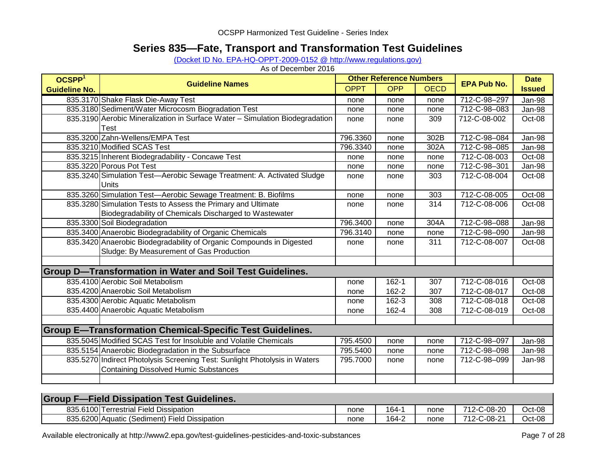## **Series 835—Fate, Transport and Transformation Test Guidelines**

(Docket ID No. EPA-HQ-OPPT-2009-0152 @ http://www.regulations.gov)

| OCSPP <sup>1</sup>   |                                                                              | <b>Other Reference Numbers</b> |            |             |                    | <b>Date</b>   |
|----------------------|------------------------------------------------------------------------------|--------------------------------|------------|-------------|--------------------|---------------|
| <b>Guideline No.</b> | <b>Guideline Names</b>                                                       | <b>OPPT</b>                    | <b>OPP</b> | <b>OECD</b> | <b>EPA Pub No.</b> | <b>Issued</b> |
|                      | 835.3170 Shake Flask Die-Away Test                                           | none                           | none       | none        | 712-C-98-297       | Jan-98        |
|                      | 835.3180 Sediment/Water Microcosm Biogradation Test                          | none                           | none       | none        | 712-C-98-083       | Jan-98        |
|                      | 835.3190 Aerobic Mineralization in Surface Water - Simulation Biodegradation | none                           | none       | 309         | 712-C-08-002       | Oct-08        |
|                      | Test                                                                         |                                |            |             |                    |               |
|                      | 835.3200 Zahn-Wellens/EMPA Test                                              | 796.3360                       | none       | 302B        | 712-C-98-084       | Jan-98        |
|                      | 835.3210 Modified SCAS Test                                                  | 796.3340                       | none       | 302A        | 712-C-98-085       | Jan-98        |
|                      | 835.3215 Inherent Biodegradability - Concawe Test                            | none                           | none       | none        | 712-C-08-003       | Oct-08        |
|                      | 835.3220 Porous Pot Test                                                     | none                           | none       | none        | 712-C-98-301       | Jan-98        |
|                      | 835.3240 Simulation Test-Aerobic Sewage Treatment: A. Activated Sludge       | none                           | none       | 303         | 712-C-08-004       | Oct-08        |
|                      | <b>Units</b>                                                                 |                                |            |             |                    |               |
|                      | 835.3260 Simulation Test-Aerobic Sewage Treatment: B. Biofilms               | none                           | none       | 303         | 712-C-08-005       | Oct-08        |
|                      | 835.3280 Simulation Tests to Assess the Primary and Ultimate                 | none                           | none       | 314         | 712-C-08-006       | Oct-08        |
|                      | Biodegradability of Chemicals Discharged to Wastewater                       |                                |            |             |                    |               |
|                      | 835.3300 Soil Biodegradation                                                 | 796.3400                       | none       | 304A        | 712-C-98-088       | Jan-98        |
|                      | 835.3400 Anaerobic Biodegradability of Organic Chemicals                     | 796.3140                       | none       | none        | 712-C-98-090       | Jan-98        |
|                      | 835.3420 Anaerobic Biodegradability of Organic Compounds in Digested         | none                           | none       | 311         | 712-C-08-007       | Oct-08        |
|                      | Sludge: By Measurement of Gas Production                                     |                                |            |             |                    |               |
|                      |                                                                              |                                |            |             |                    |               |
|                      | <b>Group D-Transformation in Water and Soil Test Guidelines.</b>             |                                |            |             |                    |               |
|                      | 835.4100 Aerobic Soil Metabolism                                             | none                           | $162 - 1$  | 307         | 712-C-08-016       | Oct-08        |
|                      | 835.4200 Anaerobic Soil Metabolism                                           | none                           | $162 - 2$  | 307         | 712-C-08-017       | Oct-08        |
|                      | 835.4300 Aerobic Aquatic Metabolism                                          | none                           | $162 - 3$  | 308         | 712-C-08-018       | Oct-08        |
|                      | 835.4400 Anaerobic Aquatic Metabolism                                        | none                           | 162-4      | 308         | 712-C-08-019       | Oct-08        |
|                      |                                                                              |                                |            |             |                    |               |
|                      | <b>Group E-Transformation Chemical-Specific Test Guidelines.</b>             |                                |            |             |                    |               |
|                      | 835.5045 Modified SCAS Test for Insoluble and Volatile Chemicals             | 795.4500                       | none       | none        | 712-C-98-097       | Jan-98        |
|                      | 835.5154 Anaerobic Biodegradation in the Subsurface                          | 795.5400                       | none       | none        | 712-C-98-098       | Jan-98        |
|                      | 835.5270 Indirect Photolysis Screening Test: Sunlight Photolysis in Waters   | 795.7000                       | none       | none        | 712-C-98-099       | Jan-98        |
|                      | <b>Containing Dissolved Humic Substances</b>                                 |                                |            |             |                    |               |
|                      |                                                                              |                                |            |             |                    |               |

| <b>Group F-Field Dissipation Test Guidelines.</b> |      |       |      |             |        |
|---------------------------------------------------|------|-------|------|-------------|--------|
| 835.6100 Terrestrial Field Dissipation            | none | 164-1 | none | 712-C-08-20 | Oct-08 |
| 835.6200 Aquatic (Sediment) Field Dissipation     | none | 164-2 | none | 712-C-08-21 | Oct-08 |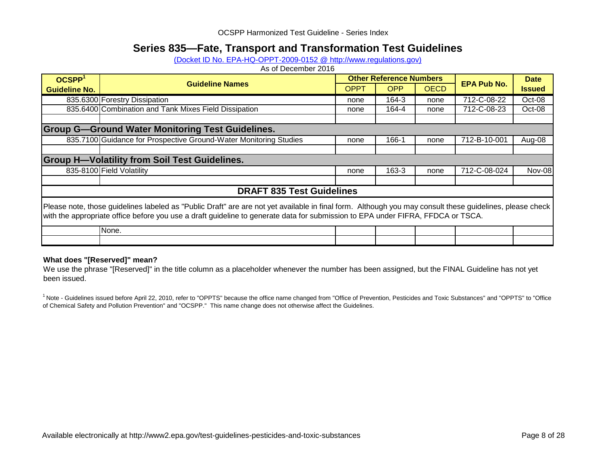## **Series 835—Fate, Transport and Transformation Test Guidelines**

(Docket ID No. EPA-HQ-OPPT-2009-0152 @ http://www.regulations.gov)

As of December 2016

| OCSPP <sup>1</sup>                                                                                                                                                                                                                                                                          | <b>Guideline Names</b>                                            |      | <b>Other Reference Numbers</b> | <b>EPA Pub No.</b> | <b>Date</b>  |               |
|---------------------------------------------------------------------------------------------------------------------------------------------------------------------------------------------------------------------------------------------------------------------------------------------|-------------------------------------------------------------------|------|--------------------------------|--------------------|--------------|---------------|
| <b>Guideline No.</b>                                                                                                                                                                                                                                                                        |                                                                   | OPPT | <b>OPP</b>                     | <b>OECD</b>        |              | <b>Issued</b> |
|                                                                                                                                                                                                                                                                                             | 835.6300 Forestry Dissipation                                     | none | 164-3                          | none               | 712-C-08-22  | Oct-08        |
|                                                                                                                                                                                                                                                                                             | 835.6400 Combination and Tank Mixes Field Dissipation             | none | 164-4                          | none               | 712-C-08-23  | Oct-08        |
|                                                                                                                                                                                                                                                                                             |                                                                   |      |                                |                    |              |               |
|                                                                                                                                                                                                                                                                                             | <b>Group G-Ground Water Monitoring Test Guidelines.</b>           |      |                                |                    |              |               |
|                                                                                                                                                                                                                                                                                             | 835.7100 Guidance for Prospective Ground-Water Monitoring Studies | none | 166-1                          | none               | 712-B-10-001 | Aug-08        |
|                                                                                                                                                                                                                                                                                             |                                                                   |      |                                |                    |              |               |
|                                                                                                                                                                                                                                                                                             | <b>Group H-Volatility from Soil Test Guidelines.</b>              |      |                                |                    |              |               |
|                                                                                                                                                                                                                                                                                             | 835-8100 Field Volatility                                         | none | 163-3                          | none               | 712-C-08-024 | <b>Nov-08</b> |
|                                                                                                                                                                                                                                                                                             |                                                                   |      |                                |                    |              |               |
|                                                                                                                                                                                                                                                                                             | <b>DRAFT 835 Test Guidelines</b>                                  |      |                                |                    |              |               |
| Please note, those guidelines labeled as "Public Draft" are are not yet available in final form. Although you may consult these guidelines, please check<br>with the appropriate office before you use a draft guideline to generate data for submission to EPA under FIFRA, FFDCA or TSCA. |                                                                   |      |                                |                    |              |               |
|                                                                                                                                                                                                                                                                                             | None.                                                             |      |                                |                    |              |               |
|                                                                                                                                                                                                                                                                                             |                                                                   |      |                                |                    |              |               |

#### **What does "[Reserved]" mean?**

We use the phrase "[Reserved]" in the title column as a placeholder whenever the number has been assigned, but the FINAL Guideline has not yet been issued.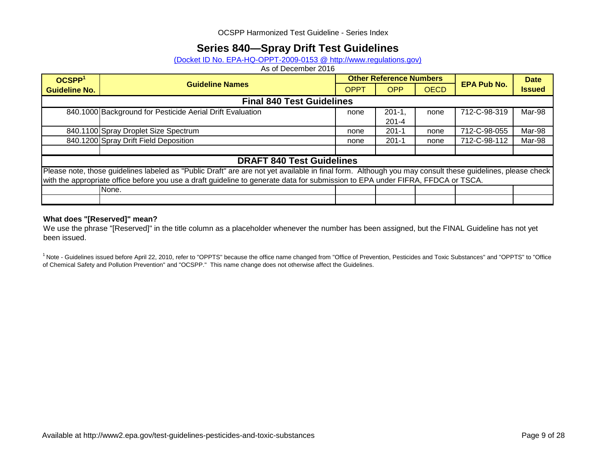## **Series 840—Spray Drift Test Guidelines**

#### [\(Docket ID No. EPA-HQ-OPPT-2009-0153 @ http://www.regulations.gov\)](http://www.regulations.gov/#!docketDetail;dct=FR+PR+N+O+SR;rpp=10;po=0;D=EPA-HQ-OPPT-2009-0153)

As of December 2016

| OCSPP <sup>1</sup>   | <b>Guideline Names</b>                                                                                                                                   | <b>Other Reference Numbers</b> |            |             |                    | <b>Date</b>   |  |  |
|----------------------|----------------------------------------------------------------------------------------------------------------------------------------------------------|--------------------------------|------------|-------------|--------------------|---------------|--|--|
| <b>Guideline No.</b> |                                                                                                                                                          | <b>OPPT</b>                    | <b>OPP</b> | <b>OECD</b> | <b>EPA Pub No.</b> | <b>Issued</b> |  |  |
|                      | <b>Final 840 Test Guidelines</b>                                                                                                                         |                                |            |             |                    |               |  |  |
|                      | 840.1000 Background for Pesticide Aerial Drift Evaluation                                                                                                | none                           | $201 - 1$  | none        | 712-C-98-319       | Mar-98        |  |  |
|                      |                                                                                                                                                          |                                | $201 - 4$  |             |                    |               |  |  |
|                      | 840.1100 Spray Droplet Size Spectrum                                                                                                                     | none                           | $201 - 1$  | none        | 712-C-98-055       | Mar-98        |  |  |
|                      | 840.1200 Spray Drift Field Deposition                                                                                                                    | none                           | $201 - 1$  | none        | 712-C-98-112       | Mar-98        |  |  |
|                      |                                                                                                                                                          |                                |            |             |                    |               |  |  |
|                      | <b>DRAFT 840 Test Guidelines</b>                                                                                                                         |                                |            |             |                    |               |  |  |
|                      | Please note, those guidelines labeled as "Public Draft" are are not yet available in final form. Although you may consult these guidelines, please check |                                |            |             |                    |               |  |  |
|                      | with the appropriate office before you use a draft guideline to generate data for submission to EPA under FIFRA, FFDCA or TSCA.                          |                                |            |             |                    |               |  |  |
|                      | None.                                                                                                                                                    |                                |            |             |                    |               |  |  |
|                      |                                                                                                                                                          |                                |            |             |                    |               |  |  |

#### **What does "[Reserved]" mean?**

We use the phrase "[Reserved]" in the title column as a placeholder whenever the number has been assigned, but the FINAL Guideline has not yet been issued.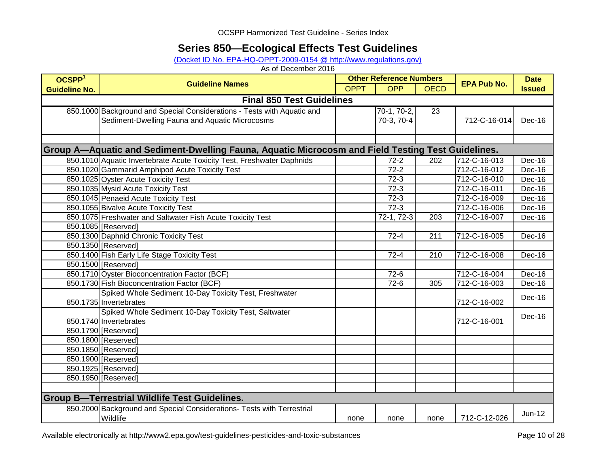## **Series 850—Ecological Effects Test Guidelines**

[\(Docket ID No. EPA-HQ-OPPT-2009-0154 @ http://www.regulations.gov\)](http://www.regulations.gov/#!docketDetail;dct=FR+PR+N+O+SR;rpp=10;po=0;D=EPA-HQ-OPPT-2009-0154)

| OCSPP <sup>1</sup>   | <b>Guideline Names</b>                                                                            | <b>Other Reference Numbers</b> |               |                  | <b>EPA Pub No.</b> | <b>Date</b>   |
|----------------------|---------------------------------------------------------------------------------------------------|--------------------------------|---------------|------------------|--------------------|---------------|
| <b>Guideline No.</b> |                                                                                                   | <b>OPPT</b>                    | <b>OPP</b>    | <b>OECD</b>      |                    | <b>Issued</b> |
|                      | <b>Final 850 Test Guidelines</b>                                                                  |                                |               |                  |                    |               |
|                      | 850.1000 Background and Special Considerations - Tests with Aquatic and                           |                                | $70-1, 70-2,$ | 23               |                    |               |
|                      | Sediment-Dwelling Fauna and Aquatic Microcosms                                                    |                                | 70-3, 70-4    |                  | 712-C-16-014       | Dec-16        |
|                      |                                                                                                   |                                |               |                  |                    |               |
|                      |                                                                                                   |                                |               |                  |                    |               |
|                      | Group A—Aquatic and Sediment-Dwelling Fauna, Aquatic Microcosm and Field Testing Test Guidelines. |                                |               |                  |                    |               |
|                      | 850.1010 Aquatic Invertebrate Acute Toxicity Test, Freshwater Daphnids                            |                                | $72 - 2$      | 202              | 712-C-16-013       | Dec-16        |
|                      | 850.1020 Gammarid Amphipod Acute Toxicity Test                                                    |                                | $72 - 2$      |                  | 712-C-16-012       | Dec-16        |
|                      | 850.1025 Oyster Acute Toxicity Test                                                               |                                | $72 - 3$      |                  | 712-C-16-010       | Dec-16        |
|                      | 850.1035 Mysid Acute Toxicity Test                                                                |                                | $72-3$        |                  | 712-C-16-011       | Dec-16        |
|                      | 850.1045 Penaeid Acute Toxicity Test                                                              |                                | $72 - 3$      |                  | 712-C-16-009       | Dec-16        |
|                      | 850.1055 Bivalve Acute Toxicity Test                                                              |                                | $72 - 3$      |                  | 712-C-16-006       | Dec-16        |
|                      | 850.1075 Freshwater and Saltwater Fish Acute Toxicity Test                                        |                                | $72-1, 72-3$  | $\overline{203}$ | 712-C-16-007       | Dec-16        |
|                      | 850.1085 [Reserved]                                                                               |                                |               |                  |                    |               |
|                      | 850.1300 Daphnid Chronic Toxicity Test                                                            |                                | $72 - 4$      | 211              | 712-C-16-005       | Dec-16        |
|                      | 850.1350 [Reserved]                                                                               |                                |               |                  |                    |               |
|                      | 850.1400 Fish Early Life Stage Toxicity Test                                                      |                                | $72 - 4$      | 210              | 712-C-16-008       | Dec-16        |
|                      | 850.1500 [Reserved]                                                                               |                                |               |                  |                    |               |
|                      | 850.1710 Oyster Bioconcentration Factor (BCF)                                                     |                                | $72-6$        |                  | 712-C-16-004       | Dec-16        |
|                      | 850.1730 Fish Bioconcentration Factor (BCF)                                                       |                                | $72-6$        | 305              | 712-C-16-003       | Dec-16        |
|                      | Spiked Whole Sediment 10-Day Toxicity Test, Freshwater                                            |                                |               |                  |                    | Dec-16        |
|                      | 850.1735 Invertebrates                                                                            |                                |               |                  | 712-C-16-002       |               |
|                      | Spiked Whole Sediment 10-Day Toxicity Test, Saltwater                                             |                                |               |                  |                    | Dec-16        |
|                      | 850.1740 Invertebrates                                                                            |                                |               |                  | 712-C-16-001       |               |
|                      | 850.1790 [Reserved]                                                                               |                                |               |                  |                    |               |
|                      | 850.1800 [Reserved]                                                                               |                                |               |                  |                    |               |
|                      | 850.1850 [Reserved]                                                                               |                                |               |                  |                    |               |
|                      | 850.1900 [Reserved]                                                                               |                                |               |                  |                    |               |
|                      | 850.1925 [Reserved]                                                                               |                                |               |                  |                    |               |
|                      | 850.1950 [Reserved]                                                                               |                                |               |                  |                    |               |
|                      |                                                                                                   |                                |               |                  |                    |               |
|                      | <b>Group B-Terrestrial Wildlife Test Guidelines.</b>                                              |                                |               |                  |                    |               |
|                      | 850.2000 Background and Special Considerations- Tests with Terrestrial                            |                                |               |                  |                    | $Jun-12$      |
|                      | Wildlife                                                                                          | none                           | none          | none             | 712-C-12-026       |               |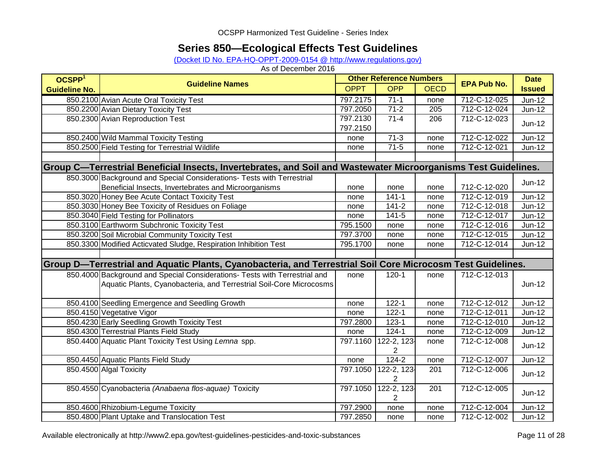# **Series 850—Ecological Effects Test Guidelines**

(Docket ID No. EPA-HQ-OPPT-2009-0154 @ http://www.regulations.gov)

| OCSPP <sup>1</sup>   |                                                                                                                | <b>Other Reference Numbers</b> |                               |             |                    | <b>Date</b>   |
|----------------------|----------------------------------------------------------------------------------------------------------------|--------------------------------|-------------------------------|-------------|--------------------|---------------|
| <b>Guideline No.</b> | <b>Guideline Names</b>                                                                                         | <b>OPPT</b>                    | <b>OPP</b>                    | <b>OECD</b> | <b>EPA Pub No.</b> | <b>Issued</b> |
|                      | 850.2100 Avian Acute Oral Toxicity Test                                                                        | 797.2175                       | $71-1$                        | none        | 712-C-12-025       | $Jun-12$      |
|                      | 850.2200 Avian Dietary Toxicity Test                                                                           | 797.2050                       | $71-2$                        | 205         | 712-C-12-024       | <b>Jun-12</b> |
|                      | 850.2300 Avian Reproduction Test                                                                               | 797.2130<br>797.2150           | $71 - 4$                      | 206         | 712-C-12-023       | $Jun-12$      |
|                      | 850.2400 Wild Mammal Toxicity Testing                                                                          | none                           | $71-3$                        | none        | 712-C-12-022       | Jun-12        |
|                      | 850.2500 Field Testing for Terrestrial Wildlife                                                                | none                           | $71-5$                        | none        | 712-C-12-021       | <b>Jun-12</b> |
|                      |                                                                                                                |                                |                               |             |                    |               |
|                      | Group C—Terrestrial Beneficial Insects, Invertebrates, and Soil and Wastewater Microorganisms Test Guidelines. |                                |                               |             |                    |               |
|                      | 850.3000 Background and Special Considerations- Tests with Terrestrial                                         |                                |                               |             |                    | $Jun-12$      |
|                      | Beneficial Insects, Invertebrates and Microorganisms                                                           | none                           | none                          | none        | 712-C-12-020       |               |
|                      | 850.3020 Honey Bee Acute Contact Toxicity Test                                                                 | none                           | $141 - 1$                     | none        | 712-C-12-019       | Jun-12        |
|                      | 850.3030 Honey Bee Toxicity of Residues on Foliage                                                             | none                           | $141 - 2$                     | none        | 712-C-12-018       | Jun-12        |
|                      | 850.3040 Field Testing for Pollinators                                                                         | none                           | $141 - 5$                     | none        | 712-C-12-017       | Jun-12        |
|                      | 850.3100 Earthworm Subchronic Toxicity Test                                                                    | 795.1500                       | none                          | none        | 712-C-12-016       | Jun-12        |
|                      | 850.3200 Soil Microbial Community Toxicity Test                                                                | 797.3700                       | none                          | none        | 712-C-12-015       | $Jun-12$      |
|                      | 850.3300 Modified Acticvated Sludge, Respiration Inhibition Test                                               | 795.1700                       | none                          | none        | 712-C-12-014       | $Jun-12$      |
|                      |                                                                                                                |                                |                               |             |                    |               |
|                      | Group D—Terrestrial and Aquatic Plants, Cyanobacteria, and Terrestrial Soil Core Microcosm Test Guidelines.    |                                |                               |             |                    |               |
|                      | 850.4000 Background and Special Considerations- Tests with Terrestrial and                                     | none                           | $120 - 1$                     | none        | 712-C-12-013       |               |
|                      | Aquatic Plants, Cyanobacteria, and Terrestrial Soil-Core Microcosms                                            |                                |                               |             |                    | Jun-12        |
|                      | 850.4100 Seedling Emergence and Seedling Growth                                                                | none                           | $122 - 1$                     | none        | 712-C-12-012       | $Jun-12$      |
|                      | 850.4150 Vegetative Vigor                                                                                      | none                           | $122 - 1$                     | none        | 712-C-12-011       | Jun-12        |
|                      | 850.4230 Early Seedling Growth Toxicity Test                                                                   | 797.2800                       | $123 - 1$                     | none        | 712-C-12-010       | $Jun-12$      |
|                      | 850.4300 Terrestrial Plants Field Study                                                                        | none                           | $124 - 1$                     | none        | 712-C-12-009       | $Jun-12$      |
|                      | 850.4400 Aquatic Plant Toxicity Test Using Lemna spp.                                                          | 797.1160                       | 122-2, 123-<br>$\overline{2}$ | none        | 712-C-12-008       | $Jun-12$      |
|                      | 850.4450 Aquatic Plants Field Study                                                                            | none                           | $124 - 2$                     | none        | 712-C-12-007       | <b>Jun-12</b> |
|                      | 850.4500 Algal Toxicity                                                                                        | 797.1050                       | 122-2, 123-<br>$\overline{2}$ | 201         | 712-C-12-006       | $Jun-12$      |
|                      | 850.4550 Cyanobacteria (Anabaena flos-aquae) Toxicity                                                          | 797.1050                       | 122-2, 123-<br>$\overline{2}$ | 201         | 712-C-12-005       | Jun-12        |
|                      | 850.4600 Rhizobium-Legume Toxicity                                                                             | 797.2900                       | none                          | none        | 712-C-12-004       | $Jun-12$      |
|                      | 850.4800 Plant Uptake and Translocation Test                                                                   | 797.2850                       | none                          | none        | 712-C-12-002       | $Jun-12$      |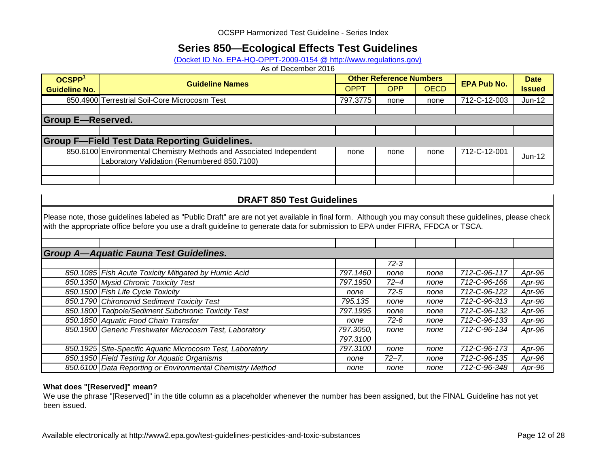## **Series 850—Ecological Effects Test Guidelines**

(Docket ID No. EPA-HQ-OPPT-2009-0154 @ http://www.regulations.gov)

As of December 2016

| OCSPP <sup>1</sup>   | <b>Guideline Names</b>                                                                                             |             | <b>Other Reference Numbers</b> |             | <b>EPA Pub No.</b> | <b>Date</b>   |  |  |  |
|----------------------|--------------------------------------------------------------------------------------------------------------------|-------------|--------------------------------|-------------|--------------------|---------------|--|--|--|
| <b>Guideline No.</b> |                                                                                                                    | <b>OPPT</b> | <b>OPP</b>                     | <b>OECD</b> |                    | <b>Issued</b> |  |  |  |
|                      | 850.4900 Terrestrial Soil-Core Microcosm Test                                                                      | 797.3775    | none                           | none        | 712-C-12-003       | $Jun-12$      |  |  |  |
|                      |                                                                                                                    |             |                                |             |                    |               |  |  |  |
|                      | <b>Group E-Reserved.</b>                                                                                           |             |                                |             |                    |               |  |  |  |
|                      |                                                                                                                    |             |                                |             |                    |               |  |  |  |
|                      | <b>Group F-Field Test Data Reporting Guidelines.</b>                                                               |             |                                |             |                    |               |  |  |  |
|                      | 850.6100 Environmental Chemistry Methods and Associated Independent<br>Laboratory Validation (Renumbered 850.7100) | none        | none                           | none        | 712-C-12-001       | $Jun-12$      |  |  |  |
|                      |                                                                                                                    |             |                                |             |                    |               |  |  |  |
|                      |                                                                                                                    |             |                                |             |                    |               |  |  |  |

### **DRAFT 850 Test Guidelines**

Please note, those guidelines labeled as "Public Draft" are are not yet available in final form. Although you may consult these guidelines, please check with the appropriate office before you use a draft guideline to generate data for submission to EPA under FIFRA, FFDCA or TSCA.

| <b>Group A-Aquatic Fauna Test Guidelines.</b> |                                                           |           |           |      |                      |        |  |  |
|-----------------------------------------------|-----------------------------------------------------------|-----------|-----------|------|----------------------|--------|--|--|
|                                               |                                                           |           | $72 - 3$  |      |                      |        |  |  |
|                                               | 850.1085 Fish Acute Toxicity Mitigated by Humic Acid      | 797.1460  | none      | none | 712-C-96-117         | Apr-96 |  |  |
|                                               | 850.1350 Mysid Chronic Toxicity Test                      | 797.1950  | $72 - 4$  | none | 712-C-96-166         | Apr-96 |  |  |
|                                               | 850.1500 Fish Life Cycle Toxicity                         | none      | $72 - 5$  | none | $712 - C - 96 - 122$ | Apr-96 |  |  |
|                                               | 850.1790 Chironomid Sediment Toxicity Test                | 795.135   | none      | none | 712-C-96-313         | Apr-96 |  |  |
|                                               | 850.1800 Tadpole/Sediment Subchronic Toxicity Test        | 797.1995  | none      | none | 712-C-96-132         | Apr-96 |  |  |
|                                               | 850.1850 Aquatic Food Chain Transfer                      | none      | 72-6      | none | 712-C-96-133         | Apr-96 |  |  |
|                                               | 850.1900 Generic Freshwater Microcosm Test, Laboratory    | 797.3050, | none      | none | 712-C-96-134         | Apr-96 |  |  |
|                                               |                                                           | 797.3100  |           |      |                      |        |  |  |
|                                               | 850.1925 Site-Specific Aquatic Microcosm Test, Laboratory | 797.3100  | none      | none | 712-C-96-173         | Apr-96 |  |  |
|                                               | 850.1950 Field Testing for Aquatic Organisms              | none      | $72 - 7.$ | none | 712-C-96-135         | Apr-96 |  |  |
|                                               | 850.6100 Data Reporting or Environmental Chemistry Method | none      | none      | none | 712-C-96-348         | Apr-96 |  |  |

#### **What does "[Reserved]" mean?**

We use the phrase "[Reserved]" in the title column as a placeholder whenever the number has been assigned, but the FINAL Guideline has not yet been issued.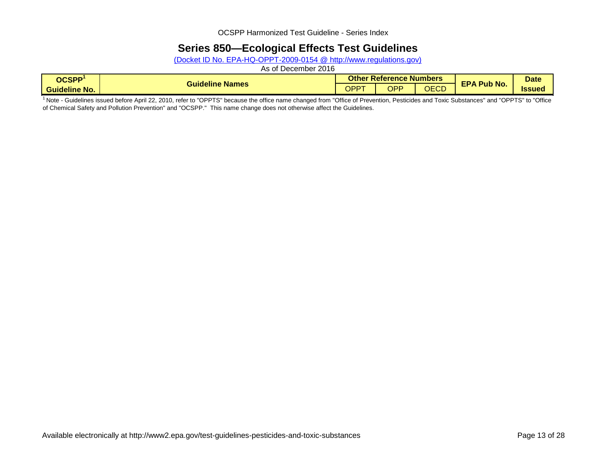## **Series 850—Ecological Effects Test Guidelines**

(Docket ID No. EPA-HQ-OPPT-2009-0154 @ http://www.regulations.gov)

As of December 2016

| OCSPP <sup>1</sup>   |                        |             | <b>Other Reference Numbers</b> |                  | <b>Date</b>        |              |
|----------------------|------------------------|-------------|--------------------------------|------------------|--------------------|--------------|
| <b>Guideline No.</b> | <b>Guideline Names</b> | <b>OPPT</b> | <b>OPP</b>                     | $\Gamma$<br>しにしし | <b>EPA Pub No.</b> | <b>Issue</b> |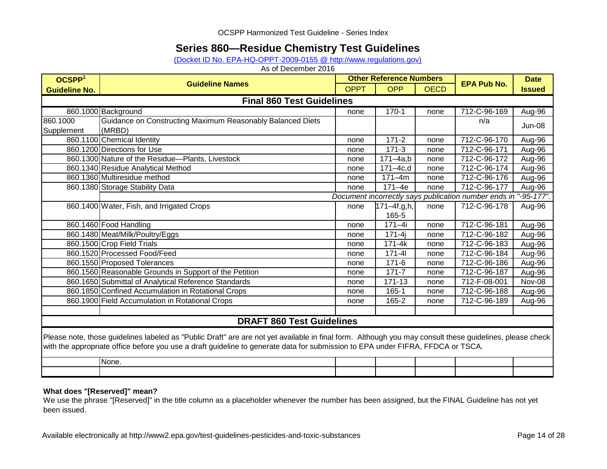## **Series 860—Residue Chemistry Test Guidelines**

[\(Docket ID No. EPA-HQ-OPPT-2009-0155 @ http://www.regulations.gov\)](http://www.regulations.gov/#!docketDetail;dct=FR+PR+N+O+SR;rpp=10;po=0;D=EPA-HQ-OPPT-2009-0155)

As of December 2016

| OCSPP <sup>1</sup>               |                                                                                                                                                                                                                                                                                             |             | <b>Other Reference Numbers</b> |             |                                                                 |               |  |  |  |
|----------------------------------|---------------------------------------------------------------------------------------------------------------------------------------------------------------------------------------------------------------------------------------------------------------------------------------------|-------------|--------------------------------|-------------|-----------------------------------------------------------------|---------------|--|--|--|
| <b>Guideline No.</b>             | <b>Guideline Names</b>                                                                                                                                                                                                                                                                      | <b>OPPT</b> | <b>OPP</b>                     | <b>OECD</b> | <b>EPA Pub No.</b>                                              | <b>Issued</b> |  |  |  |
| <b>Final 860 Test Guidelines</b> |                                                                                                                                                                                                                                                                                             |             |                                |             |                                                                 |               |  |  |  |
|                                  | 860.1000 Background                                                                                                                                                                                                                                                                         | none        | $170 - 1$                      | none        | 712-C-96-169                                                    | Aug-96        |  |  |  |
| 860.1000                         | Guidance on Constructing Maximum Reasonably Balanced Diets                                                                                                                                                                                                                                  |             |                                |             | n/a                                                             | <b>Jun-08</b> |  |  |  |
| Supplement                       | (MRBD)                                                                                                                                                                                                                                                                                      |             |                                |             |                                                                 |               |  |  |  |
|                                  | 860.1100 Chemical Identity                                                                                                                                                                                                                                                                  | none        | $171 - 2$                      | none        | 712-C-96-170                                                    | Aug-96        |  |  |  |
|                                  | 860.1200 Directions for Use                                                                                                                                                                                                                                                                 | none        | $171-3$                        | none        | 712-C-96-171                                                    | Aug-96        |  |  |  |
|                                  | 860.1300 Nature of the Residue-Plants, Livestock                                                                                                                                                                                                                                            | none        | $171 - 4a$ ,b                  | none        | 712-C-96-172                                                    | Aug-96        |  |  |  |
|                                  | 860.1340 Residue Analytical Method                                                                                                                                                                                                                                                          | none        | $171 - 4c, d$                  | none        | 712-C-96-174                                                    | Aug-96        |  |  |  |
|                                  | 860.1360 Multiresidue method                                                                                                                                                                                                                                                                | none        | $171 - 4m$                     | none        | 712-C-96-176                                                    | Aug-96        |  |  |  |
|                                  | 860.1380 Storage Stability Data                                                                                                                                                                                                                                                             | none        | $171 - 4e$                     | none        | 712-C-96-177                                                    | Aug-96        |  |  |  |
|                                  |                                                                                                                                                                                                                                                                                             |             |                                |             | Document incorrectly says publication number ends in "-95-177". |               |  |  |  |
|                                  | 860.1400 Water, Fish, and Irrigated Crops                                                                                                                                                                                                                                                   | none        | $171 - 4f, g, h,$              | none        | 712-C-96-178                                                    | Aug-96        |  |  |  |
|                                  |                                                                                                                                                                                                                                                                                             |             | 165-5                          |             |                                                                 |               |  |  |  |
|                                  | 860.1460 Food Handling                                                                                                                                                                                                                                                                      | none        | $171 - 4i$                     | none        | 712-C-96-181                                                    | $Aug-96$      |  |  |  |
|                                  | 860.1480 Meat/Milk/Poultry/Eggs                                                                                                                                                                                                                                                             | none        | $171 - 4i$                     | none        | 712-C-96-182                                                    | Aug-96        |  |  |  |
|                                  | 860.1500 Crop Field Trials                                                                                                                                                                                                                                                                  | none        | 171-4k                         | none        | 712-C-96-183                                                    | Aug-96        |  |  |  |
|                                  | 860.1520 Processed Food/Feed                                                                                                                                                                                                                                                                | none        | $171 - 41$                     | none        | 712-C-96-184                                                    | Aug-96        |  |  |  |
|                                  | 860.1550 Proposed Tolerances                                                                                                                                                                                                                                                                | none        | $171-6$                        | none        | 712-C-96-186                                                    | Aug-96        |  |  |  |
|                                  | 860.1560 Reasonable Grounds in Support of the Petition                                                                                                                                                                                                                                      | none        | $171 - 7$                      | none        | 712-C-96-187                                                    | Aug-96        |  |  |  |
|                                  | 860.1650 Submittal of Analytical Reference Standards                                                                                                                                                                                                                                        | none        | 171-13                         | none        | 712-F-08-001                                                    | Nov-08        |  |  |  |
|                                  | 860.1850 Confined Accumulation in Rotational Crops                                                                                                                                                                                                                                          | none        | $165 - 1$                      | none        | 712-C-96-188                                                    | Aug-96        |  |  |  |
|                                  | 860.1900 Field Accumulation in Rotational Crops                                                                                                                                                                                                                                             | none        | 165-2                          | none        | 712-C-96-189                                                    | Aug-96        |  |  |  |
|                                  |                                                                                                                                                                                                                                                                                             |             |                                |             |                                                                 |               |  |  |  |
|                                  | <b>DRAFT 860 Test Guidelines</b>                                                                                                                                                                                                                                                            |             |                                |             |                                                                 |               |  |  |  |
|                                  | Please note, those guidelines labeled as "Public Draft" are are not yet available in final form. Although you may consult these guidelines, please check<br>with the appropriate office before you use a draft guideline to generate data for submission to EPA under FIFRA, FFDCA or TSCA. |             |                                |             |                                                                 |               |  |  |  |
|                                  | None.                                                                                                                                                                                                                                                                                       |             |                                |             |                                                                 |               |  |  |  |
|                                  |                                                                                                                                                                                                                                                                                             |             |                                |             |                                                                 |               |  |  |  |

### **What does "[Reserved]" mean?**

We use the phrase "[Reserved]" in the title column as a placeholder whenever the number has been assigned, but the FINAL Guideline has not yet been issued.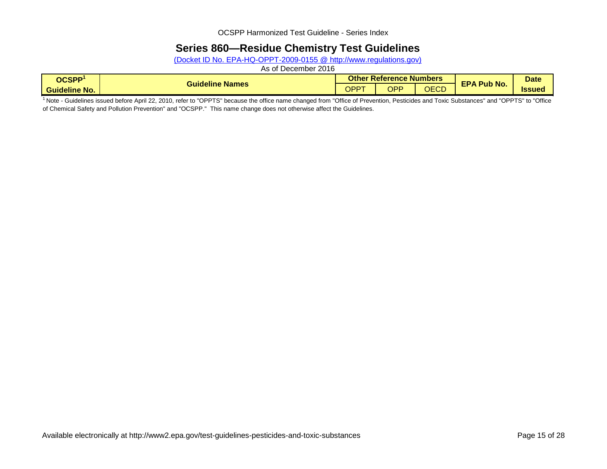## **Series 860—Residue Chemistry Test Guidelines**

(Docket ID No. EPA-HQ-OPPT-2009-0155 @ http://www.regulations.gov)

As of December 2016

| OCSPP <sup>1</sup>                     |                        |      | <b>Other Reference Numbers</b> |              | <b>Date</b>              |              |
|----------------------------------------|------------------------|------|--------------------------------|--------------|--------------------------|--------------|
| . .<br><b>Guideline</b><br>$\cdot$ No. | <b>Guideline Names</b> | OPPT | OPP                            | AEAD<br>しにしし | <b>EPA Pub No.</b><br>uw | <b>Issue</b> |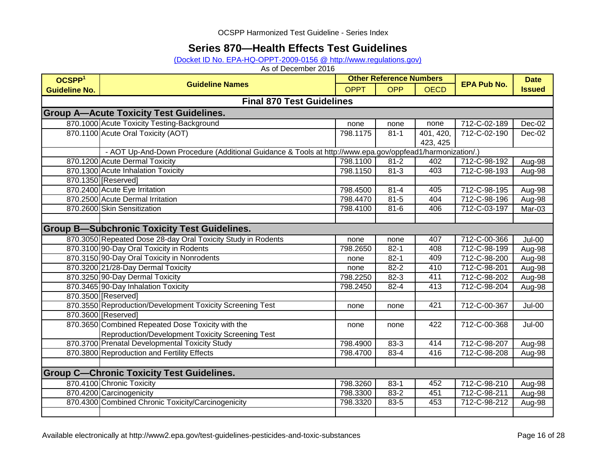## **Series 870—Health Effects Test Guidelines**

### [\(Docket ID No. EPA-HQ-OPPT-2009-0156 @ http://www.regulations.gov\)](http://www.regulations.gov/#!docketDetail;dct=FR+PR+N+O+SR;rpp=10;po=0;D=EPA-HQ-OPPT-2009-0156)

| OCSPP <sup>1</sup>   | <b>Guideline Names</b>                                                                                   | <b>Other Reference Numbers</b> |            |                       | <b>EPA Pub No.</b> | <b>Date</b>   |
|----------------------|----------------------------------------------------------------------------------------------------------|--------------------------------|------------|-----------------------|--------------------|---------------|
| <b>Guideline No.</b> |                                                                                                          | <b>OPPT</b>                    | <b>OPP</b> | <b>OECD</b>           |                    | <b>Issued</b> |
|                      | <b>Final 870 Test Guidelines</b>                                                                         |                                |            |                       |                    |               |
|                      | <b>Group A-Acute Toxicity Test Guidelines.</b>                                                           |                                |            |                       |                    |               |
|                      | 870.1000 Acute Toxicity Testing-Background                                                               | none                           | none       | none                  | 712-C-02-189       | Dec-02        |
|                      | 870.1100 Acute Oral Toxicity (AOT)                                                                       | 798.1175                       | $81 - 1$   | 401, 420,<br>423, 425 | 712-C-02-190       | Dec-02        |
|                      | - AOT Up-And-Down Procedure (Additional Guidance & Tools at http://www.epa.gov/oppfead1/harmonization/.) |                                |            |                       |                    |               |
|                      | 870.1200 Acute Dermal Toxicity                                                                           | 798.1100                       | $81 - 2$   | 402                   | 712-C-98-192       | Aug-98        |
|                      | 870.1300 Acute Inhalation Toxicity                                                                       | 798.1150                       | $81 - 3$   | 403                   | 712-C-98-193       | Aug-98        |
|                      | 870.1350 [Reserved]                                                                                      |                                |            |                       |                    |               |
|                      | 870.2400 Acute Eye Irritation                                                                            | 798.4500                       | $81 - 4$   | 405                   | 712-C-98-195       | Aug-98        |
|                      | 870.2500 Acute Dermal Irritation                                                                         | 798.4470                       | $81 - 5$   | 404                   | 712-C-98-196       | Aug-98        |
|                      | 870.2600 Skin Sensitization                                                                              | 798.4100                       | $81 - 6$   | 406                   | 712-C-03-197       | Mar-03        |
|                      |                                                                                                          |                                |            |                       |                    |               |
|                      | <b>Group B-Subchronic Toxicity Test Guidelines.</b>                                                      |                                |            |                       |                    |               |
|                      | 870.3050 Repeated Dose 28-day Oral Toxicity Study in Rodents                                             | none                           | none       | 407                   | 712-C-00-366       | <b>Jul-00</b> |
|                      | 870.3100 90-Day Oral Toxicity in Rodents                                                                 | 798.2650                       | $82 - 1$   | 408                   | 712-C-98-199       | Aug-98        |
|                      | 870.3150 90-Day Oral Toxicity in Nonrodents                                                              | none                           | $82 - 1$   | 409                   | 712-C-98-200       | Aug-98        |
|                      | 870.3200 21/28-Day Dermal Toxicity                                                                       | none                           | $82 - 2$   | 410                   | 712-C-98-201       | Aug-98        |
|                      | 870.3250 90-Day Dermal Toxicity                                                                          | 798.2250                       | $82 - 3$   | 411                   | 712-C-98-202       | Aug-98        |
|                      | 870.3465 90-Day Inhalation Toxicity                                                                      | 798.2450                       | $82 - 4$   | 413                   | 712-C-98-204       | Aug-98        |
|                      | 870.3500 [Reserved]                                                                                      |                                |            |                       |                    |               |
|                      | 870.3550 Reproduction/Development Toxicity Screening Test                                                | none                           | none       | 421                   | 712-C-00-367       | $Jul-00$      |
|                      | 870.3600 [Reserved]                                                                                      |                                |            |                       |                    |               |
|                      | 870.3650 Combined Repeated Dose Toxicity with the                                                        | none                           | none       | 422                   | 712-C-00-368       | $Jul-00$      |
|                      | Reproduction/Development Toxicity Screening Test                                                         |                                |            |                       |                    |               |
|                      | 870.3700 Prenatal Developmental Toxicity Study                                                           | 798.4900                       | $83 - 3$   | 414                   | 712-C-98-207       | Aug-98        |
|                      | 870.3800 Reproduction and Fertility Effects                                                              | 798.4700                       | $83 - 4$   | 416                   | 712-C-98-208       | Aug-98        |
|                      |                                                                                                          |                                |            |                       |                    |               |
|                      | <b>Group C--Chronic Toxicity Test Guidelines.</b>                                                        |                                |            |                       |                    |               |
|                      | 870.4100 Chronic Toxicity                                                                                | 798.3260                       | $83-1$     | 452                   | 712-C-98-210       | Aug-98        |
|                      | 870.4200 Carcinogenicity                                                                                 | 798.3300                       | 83-2       | 451                   | 712-C-98-211       | Aug-98        |
|                      | 870.4300 Combined Chronic Toxicity/Carcinogenicity                                                       | 798.3320                       | 83-5       | 453                   | 712-C-98-212       | Aug-98        |
|                      |                                                                                                          |                                |            |                       |                    |               |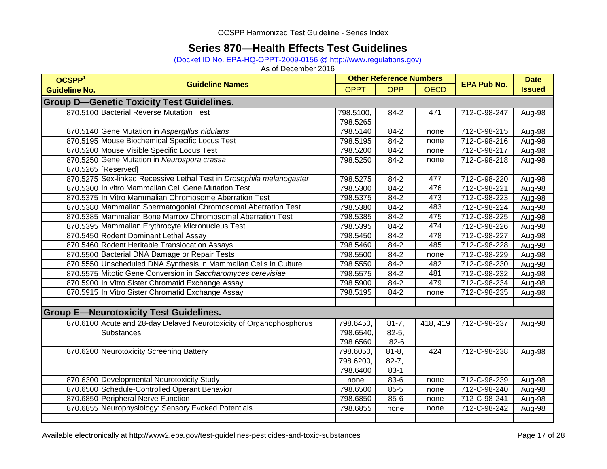## **Series 870—Health Effects Test Guidelines**

### (Docket ID No. EPA-HQ-OPPT-2009-0156 @ http://www.regulations.gov)

| OCSPP <sup>1</sup>                               | <b>Other Reference Numbers</b>                                       |             |            |             |                    | <b>Date</b>   |  |  |  |
|--------------------------------------------------|----------------------------------------------------------------------|-------------|------------|-------------|--------------------|---------------|--|--|--|
| <b>Guideline No.</b>                             | <b>Guideline Names</b>                                               | <b>OPPT</b> | <b>OPP</b> | <b>OECD</b> | <b>EPA Pub No.</b> | <b>Issued</b> |  |  |  |
| <b>Group D-Genetic Toxicity Test Guidelines.</b> |                                                                      |             |            |             |                    |               |  |  |  |
|                                                  | 870.5100 Bacterial Reverse Mutation Test                             | 798.5100,   | $84 - 2$   | 471         | 712-C-98-247       | Aug-98        |  |  |  |
|                                                  |                                                                      | 798.5265    |            |             |                    |               |  |  |  |
|                                                  | 870.5140 Gene Mutation in Aspergillus nidulans                       | 798.5140    | $84 - 2$   | none        | 712-C-98-215       | Aug-98        |  |  |  |
|                                                  | 870.5195 Mouse Biochemical Specific Locus Test                       | 798.5195    | $84-2$     | none        | 712-C-98-216       | Aug-98        |  |  |  |
|                                                  | 870.5200 Mouse Visible Specific Locus Test                           | 798.5200    | $84 - 2$   | none        | 712-C-98-217       | Aug-98        |  |  |  |
|                                                  | 870.5250 Gene Mutation in Neurospora crassa                          | 798.5250    | $84 - 2$   | none        | 712-C-98-218       | Aug-98        |  |  |  |
|                                                  | 870.5265 [Reserved]                                                  |             |            |             |                    |               |  |  |  |
|                                                  | 870.5275 Sex-linked Recessive Lethal Test in Drosophila melanogaster | 798.5275    | $84 - 2$   | 477         | 712-C-98-220       | Aug-98        |  |  |  |
|                                                  | 870.5300 In vitro Mammalian Cell Gene Mutation Test                  | 798.5300    | $84 - 2$   | 476         | 712-C-98-221       | Aug-98        |  |  |  |
|                                                  | 870.5375 In Vitro Mammalian Chromosome Aberration Test               | 798.5375    | $84 - 2$   | 473         | 712-C-98-223       | Aug-98        |  |  |  |
|                                                  | 870.5380 Mammalian Spermatogonial Chromosomal Aberration Test        | 798.5380    | $84 - 2$   | 483         | 712-C-98-224       | Aug-98        |  |  |  |
|                                                  | 870.5385 Mammalian Bone Marrow Chromosomal Aberration Test           | 798.5385    | $84 - 2$   | 475         | 712-C-98-225       | Aug-98        |  |  |  |
|                                                  | 870.5395 Mammalian Erythrocyte Micronucleus Test                     | 798.5395    | $84 - 2$   | 474         | 712-C-98-226       | Aug-98        |  |  |  |
|                                                  | 870.5450 Rodent Dominant Lethal Assay                                | 798.5450    | $84 - 2$   | 478         | 712-C-98-227       | Aug-98        |  |  |  |
|                                                  | 870.5460 Rodent Heritable Translocation Assays                       | 798.5460    | $84 - 2$   | 485         | 712-C-98-228       | Aug-98        |  |  |  |
|                                                  | 870.5500 Bacterial DNA Damage or Repair Tests                        | 798.5500    | $84 - 2$   | none        | 712-C-98-229       | Aug-98        |  |  |  |
|                                                  | 870.5550 Unscheduled DNA Synthesis in Mammalian Cells in Culture     | 798.5550    | 84-2       | 482         | 712-C-98-230       | Aug-98        |  |  |  |
|                                                  | 870.5575 Mitotic Gene Conversion in Saccharomyces cerevisiae         | 798.5575    | 84-2       | 481         | 712-C-98-232       | Aug-98        |  |  |  |
|                                                  | 870.5900 In Vitro Sister Chromatid Exchange Assay                    | 798.5900    | $84-2$     | 479         | 712-C-98-234       | Aug-98        |  |  |  |
|                                                  | 870.5915 In Vitro Sister Chromatid Exchange Assay                    | 798.5195    | 84-2       | none        | 712-C-98-235       | Aug-98        |  |  |  |
|                                                  |                                                                      |             |            |             |                    |               |  |  |  |
|                                                  | <b>Group E-Neurotoxicity Test Guidelines.</b>                        |             |            |             |                    |               |  |  |  |
|                                                  | 870.6100 Acute and 28-day Delayed Neurotoxicity of Organophosphorus  | 798.6450,   | $81 - 7,$  | 418, 419    | 712-C-98-237       | Aug-98        |  |  |  |
|                                                  | Substances                                                           | 798.6540,   | $82 - 5,$  |             |                    |               |  |  |  |
|                                                  |                                                                      | 798.6560    | $82 - 6$   |             |                    |               |  |  |  |
|                                                  | 870.6200 Neurotoxicity Screening Battery                             | 798.6050,   | $81 - 8$ , | 424         | 712-C-98-238       | Aug-98        |  |  |  |
|                                                  |                                                                      | 798.6200,   | $82 - 7,$  |             |                    |               |  |  |  |
|                                                  |                                                                      | 798.6400    | $83-1$     |             |                    |               |  |  |  |
|                                                  | 870.6300 Developmental Neurotoxicity Study                           | none        | 83-6       | none        | 712-C-98-239       | Aug-98        |  |  |  |
|                                                  | 870.6500 Schedule-Controlled Operant Behavior                        | 798.6500    | 85-5       | none        | 712-C-98-240       | Aug-98        |  |  |  |
|                                                  | 870.6850 Peripheral Nerve Function                                   | 798.6850    | 85-6       | none        | 712-C-98-241       | Aug-98        |  |  |  |
|                                                  | 870.6855 Neurophysiology: Sensory Evoked Potentials                  | 798.6855    | none       | none        | 712-C-98-242       | Aug-98        |  |  |  |
|                                                  |                                                                      |             |            |             |                    |               |  |  |  |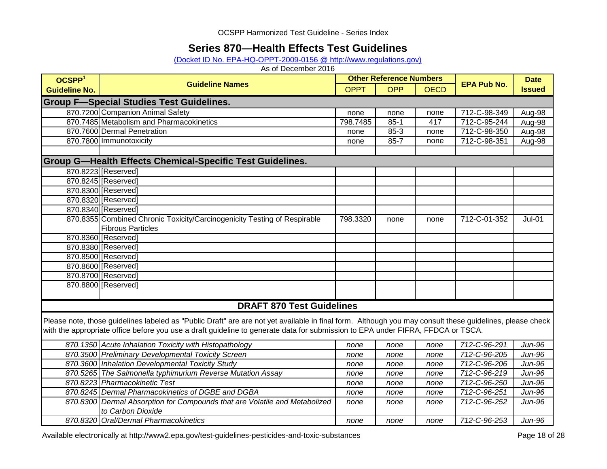## **Series 870—Health Effects Test Guidelines**

(Docket ID No. EPA-HQ-OPPT-2009-0156 @ http://www.regulations.gov)

| OCSPP <sup>1</sup>   | <b>Guideline Names</b>                                                                                                                                   | <b>Other Reference Numbers</b> |            |             | <b>EPA Pub No.</b> | <b>Date</b>   |
|----------------------|----------------------------------------------------------------------------------------------------------------------------------------------------------|--------------------------------|------------|-------------|--------------------|---------------|
| <b>Guideline No.</b> |                                                                                                                                                          | <b>OPPT</b>                    | <b>OPP</b> | <b>OECD</b> |                    | <b>Issued</b> |
|                      | <b>Group F-Special Studies Test Guidelines.</b>                                                                                                          |                                |            |             |                    |               |
|                      | 870.7200 Companion Animal Safety                                                                                                                         | none                           | none       | none        | 712-C-98-349       | Aug-98        |
|                      | 870.7485 Metabolism and Pharmacokinetics                                                                                                                 | 798.7485                       | $85 - 1$   | 417         | 712-C-95-244       | Aug-98        |
|                      | 870.7600 Dermal Penetration                                                                                                                              | none                           | $85 - 3$   | none        | 712-C-98-350       | Aug-98        |
|                      | 870.7800 Immunotoxicity                                                                                                                                  | none                           | $85 - 7$   | none        | 712-C-98-351       | Aug-98        |
|                      |                                                                                                                                                          |                                |            |             |                    |               |
|                      | <b>Group G-Health Effects Chemical-Specific Test Guidelines.</b>                                                                                         |                                |            |             |                    |               |
|                      | 870.8223 [Reserved]                                                                                                                                      |                                |            |             |                    |               |
|                      | 870.8245 [Reserved]                                                                                                                                      |                                |            |             |                    |               |
|                      | 870.8300 [Reserved]                                                                                                                                      |                                |            |             |                    |               |
|                      | 870.8320 [Reserved]                                                                                                                                      |                                |            |             |                    |               |
|                      | 870.8340 [Reserved]                                                                                                                                      |                                |            |             |                    |               |
|                      | 870.8355 Combined Chronic Toxicity/Carcinogenicity Testing of Respirable                                                                                 | 798.3320                       | none       | none        | 712-C-01-352       | <b>Jul-01</b> |
|                      | <b>Fibrous Particles</b>                                                                                                                                 |                                |            |             |                    |               |
|                      | 870.8360 [Reserved]                                                                                                                                      |                                |            |             |                    |               |
|                      | 870.8380 [Reserved]                                                                                                                                      |                                |            |             |                    |               |
|                      | 870.8500 [Reserved]                                                                                                                                      |                                |            |             |                    |               |
|                      | 870.8600 [Reserved]                                                                                                                                      |                                |            |             |                    |               |
|                      | 870.8700 [Reserved]                                                                                                                                      |                                |            |             |                    |               |
|                      | 870.8800 [Reserved]                                                                                                                                      |                                |            |             |                    |               |
|                      |                                                                                                                                                          |                                |            |             |                    |               |
|                      | <b>DRAFT 870 Test Guidelines</b>                                                                                                                         |                                |            |             |                    |               |
|                      | Please note, those guidelines labeled as "Public Draft" are are not yet available in final form. Although you may consult these guidelines, please check |                                |            |             |                    |               |
|                      | with the appropriate office before you use a draft guideline to generate data for submission to EPA under FIFRA, FFDCA or TSCA.                          |                                |            |             |                    |               |
|                      | 870.1350 Acute Inhalation Toxicity with Histopathology                                                                                                   | none                           | none       | none        | 712-C-96-291       | Jun-96        |
|                      | 870.3500 Preliminary Developmental Toxicity Screen                                                                                                       | none                           | none       | none        | 712-C-96-205       | Jun-96        |
|                      | 870.3600 Inhalation Developmental Toxicity Study                                                                                                         | none                           | none       | none        | 712-C-96-206       | Jun-96        |
|                      | 870.5265 The Salmonella typhimurium Reverse Mutation Assay                                                                                               | none                           | none       | none        | 712-C-96-219       | Jun-96        |
|                      | 870.8223 Pharmacokinetic Test                                                                                                                            | none                           | none       | none        | 712-C-96-250       | Jun-96        |
|                      | 870.8245 Dermal Pharmacokinetics of DGBE and DGBA                                                                                                        | none                           | none       | none        | 712-C-96-251       | Jun-96        |
|                      | 870.8300 Dermal Absorption for Compounds that are Volatile and Metabolized                                                                               | none                           | none       | none        | 712-C-96-252       | Jun-96        |
|                      | to Carbon Dioxide                                                                                                                                        |                                |            |             |                    |               |
|                      | 870.8320 Oral/Dermal Pharmacokinetics                                                                                                                    | none                           | none       | none        | 712-C-96-253       | Jun-96        |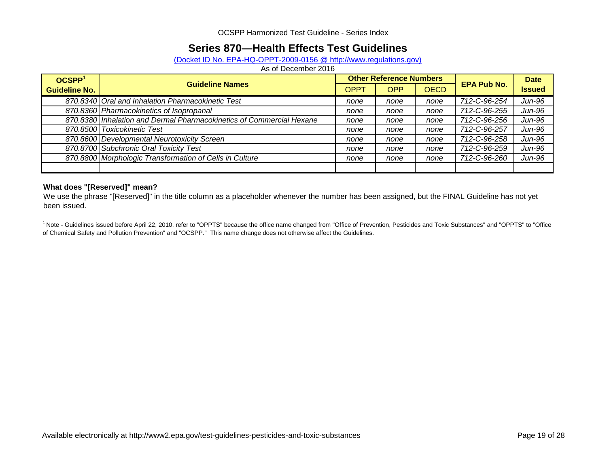## **Series 870—Health Effects Test Guidelines**

### (Docket ID No. EPA-HQ-OPPT-2009-0156 @ http://www.regulations.gov)

As of December 2016

| OCSPP <sup>1</sup>   | <b>Guideline Names</b>                                               |      | <b>Other Reference Numbers</b> |             | <b>Date</b>        |               |
|----------------------|----------------------------------------------------------------------|------|--------------------------------|-------------|--------------------|---------------|
| <b>Guideline No.</b> |                                                                      | OPPT | <b>OPP</b>                     | <b>OECD</b> | <b>EPA Pub No.</b> | <b>Issued</b> |
|                      | 870.8340 Oral and Inhalation Pharmacokinetic Test                    | none | none                           | none        | 712-C-96-254       | Jun-96        |
|                      | 870.8360 Pharmacokinetics of Isopropanal                             | none | none                           | none        | 712-C-96-255       | Jun-96        |
|                      | 870.8380 Inhalation and Dermal Pharmacokinetics of Commercial Hexane | none | none                           | none        | 712-C-96-256       | Jun-96        |
|                      | 870.8500 Toxicokinetic Test                                          | none | none                           | none        | 712-C-96-257       | Jun-96        |
|                      | 870.8600 Developmental Neurotoxicity Screen                          | none | none                           | none        | 712-C-96-258       | Jun-96        |
|                      | 870.8700 Subchronic Oral Toxicity Test                               | none | none                           | none        | 712-C-96-259       | Jun-96        |
|                      | 870.8800 Morphologic Transformation of Cells in Culture              | none | none                           | none        | 712-C-96-260       | Jun-96        |
|                      |                                                                      |      |                                |             |                    |               |

#### **What does "[Reserved]" mean?**

We use the phrase "[Reserved]" in the title column as a placeholder whenever the number has been assigned, but the FINAL Guideline has not yet been issued.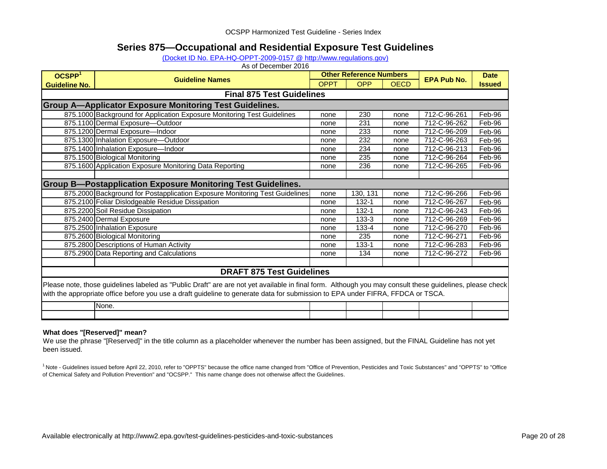### **Series 875—Occupational and Residential Exposure Test Guidelines**

#### [\(Docket ID No. EPA-HQ-OPPT-2009-0157 @ http://www.regulations.gov\)](http://www.regulations.gov/#!docketDetail;dct=FR+PR+N+O+SR;rpp=10;so=ASC;sb=docId;po=0;D=EPA-HQ-OPPT-2009-0157)

As of December 2016

| OCSPP <sup>1</sup>               | <b>Guideline Names</b>                                                                                                                                                                                                                                                                      |             | <b>Other Reference Numbers</b> |             | <b>EPA Pub No.</b> | <b>Date</b>   |  |  |
|----------------------------------|---------------------------------------------------------------------------------------------------------------------------------------------------------------------------------------------------------------------------------------------------------------------------------------------|-------------|--------------------------------|-------------|--------------------|---------------|--|--|
| <b>Guideline No.</b>             |                                                                                                                                                                                                                                                                                             | <b>OPPT</b> | <b>OPP</b>                     | <b>OECD</b> |                    | <b>Issued</b> |  |  |
| <b>Final 875 Test Guidelines</b> |                                                                                                                                                                                                                                                                                             |             |                                |             |                    |               |  |  |
|                                  | <b>Group A-Applicator Exposure Monitoring Test Guidelines.</b>                                                                                                                                                                                                                              |             |                                |             |                    |               |  |  |
|                                  | 875.1000 Background for Application Exposure Monitoring Test Guidelines                                                                                                                                                                                                                     | none        | 230                            | none        | 712-C-96-261       | Feb-96        |  |  |
|                                  | 875.1100 Dermal Exposure-Outdoor                                                                                                                                                                                                                                                            | none        | 231                            | none        | 712-C-96-262       | Feb-96        |  |  |
|                                  | 875.1200 Dermal Exposure-Indoor                                                                                                                                                                                                                                                             | none        | 233                            | none        | 712-C-96-209       | Feb-96        |  |  |
|                                  | 875.1300 Inhalation Exposure-Outdoor                                                                                                                                                                                                                                                        | none        | 232                            | none        | 712-C-96-263       | Feb-96        |  |  |
|                                  | 875.1400 Inhalation Exposure-Indoor                                                                                                                                                                                                                                                         | none        | 234                            | none        | 712-C-96-213       | Feb-96        |  |  |
|                                  | 875.1500 Biological Monitoring                                                                                                                                                                                                                                                              | none        | 235                            | none        | 712-C-96-264       | Feb-96        |  |  |
|                                  | 875.1600 Application Exposure Monitoring Data Reporting                                                                                                                                                                                                                                     | none        | 236                            | none        | 712-C-96-265       | Feb-96        |  |  |
|                                  |                                                                                                                                                                                                                                                                                             |             |                                |             |                    |               |  |  |
|                                  | <b>Group B-Postapplication Exposure Monitoring Test Guidelines.</b>                                                                                                                                                                                                                         |             |                                |             |                    |               |  |  |
|                                  | 875.2000 Background for Postapplication Exposure Monitoring Test Guidelines                                                                                                                                                                                                                 | none        | 130, 131                       | none        | 712-C-96-266       | Feb-96        |  |  |
|                                  | 875.2100 Foliar Dislodgeable Residue Dissipation                                                                                                                                                                                                                                            | none        | 132-1                          | none        | 712-C-96-267       | Feb-96        |  |  |
|                                  | 875.2200 Soil Residue Dissipation                                                                                                                                                                                                                                                           | none        | 132-1                          | none        | 712-C-96-243       | Feb-96        |  |  |
|                                  | 875.2400 Dermal Exposure                                                                                                                                                                                                                                                                    | none        | $133 - 3$                      | none        | 712-C-96-269       | Feb-96        |  |  |
|                                  | 875.2500 Inhalation Exposure                                                                                                                                                                                                                                                                | none        | 133-4                          | none        | 712-C-96-270       | Feb-96        |  |  |
|                                  | 875.2600 Biological Monitoring                                                                                                                                                                                                                                                              | none        | 235                            | none        | 712-C-96-271       | Feb-96        |  |  |
|                                  | 875.2800 Descriptions of Human Activity                                                                                                                                                                                                                                                     | none        | 133-1                          | none        | 712-C-96-283       | Feb-96        |  |  |
|                                  | 875.2900 Data Reporting and Calculations                                                                                                                                                                                                                                                    | none        | 134                            | none        | 712-C-96-272       | Feb-96        |  |  |
|                                  |                                                                                                                                                                                                                                                                                             |             |                                |             |                    |               |  |  |
|                                  | <b>DRAFT 875 Test Guidelines</b>                                                                                                                                                                                                                                                            |             |                                |             |                    |               |  |  |
|                                  | Please note, those guidelines labeled as "Public Draft" are are not yet available in final form. Although you may consult these guidelines, please check<br>with the appropriate office before you use a draft guideline to generate data for submission to EPA under FIFRA, FFDCA or TSCA. |             |                                |             |                    |               |  |  |
|                                  | None.                                                                                                                                                                                                                                                                                       |             |                                |             |                    |               |  |  |
|                                  |                                                                                                                                                                                                                                                                                             |             |                                |             |                    |               |  |  |

#### **What does "[Reserved]" mean?**

We use the phrase "[Reserved]" in the title column as a placeholder whenever the number has been assigned, but the FINAL Guideline has not yet been issued.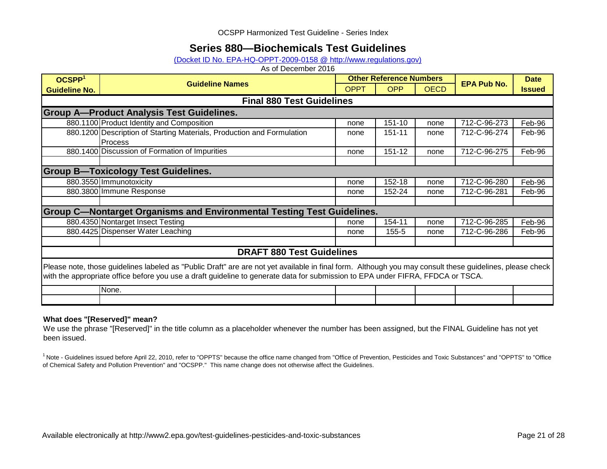## **Series 880—Biochemicals Test Guidelines**

### [\(Docket ID No. EPA-HQ-OPPT-2009-0158 @ http://www.regulations.gov\)](http://www.regulations.gov/#!docketDetail;dct=FR+PR+N+O+SR;rpp=10;po=0;D=EPA-HQ-OPPT-2009-0158)

As of December 2016

| OCSPP <sup>1</sup>                                                                                                                                                                                                                                                                          | <b>Guideline Names</b>                                                        |             | <b>Other Reference Numbers</b> |             | <b>Date</b>        |               |  |  |  |  |
|---------------------------------------------------------------------------------------------------------------------------------------------------------------------------------------------------------------------------------------------------------------------------------------------|-------------------------------------------------------------------------------|-------------|--------------------------------|-------------|--------------------|---------------|--|--|--|--|
| <b>Guideline No.</b>                                                                                                                                                                                                                                                                        |                                                                               | <b>OPPT</b> | <b>OPP</b>                     | <b>OECD</b> | <b>EPA Pub No.</b> | <b>Issued</b> |  |  |  |  |
|                                                                                                                                                                                                                                                                                             | <b>Final 880 Test Guidelines</b>                                              |             |                                |             |                    |               |  |  |  |  |
|                                                                                                                                                                                                                                                                                             | <b>Group A-Product Analysis Test Guidelines.</b>                              |             |                                |             |                    |               |  |  |  |  |
|                                                                                                                                                                                                                                                                                             | 880.1100 Product Identity and Composition                                     | none        | 151-10                         | none        | 712-C-96-273       | Feb-96        |  |  |  |  |
|                                                                                                                                                                                                                                                                                             | 880.1200 Description of Starting Materials, Production and Formulation        | none        | 151-11                         | none        | 712-C-96-274       | Feb-96        |  |  |  |  |
|                                                                                                                                                                                                                                                                                             | <b>Process</b>                                                                |             |                                |             |                    |               |  |  |  |  |
|                                                                                                                                                                                                                                                                                             | 880.1400 Discussion of Formation of Impurities                                | none        | 151-12                         | none        | 712-C-96-275       | Feb-96        |  |  |  |  |
|                                                                                                                                                                                                                                                                                             |                                                                               |             |                                |             |                    |               |  |  |  |  |
|                                                                                                                                                                                                                                                                                             | <b>Group B-Toxicology Test Guidelines.</b>                                    |             |                                |             |                    |               |  |  |  |  |
|                                                                                                                                                                                                                                                                                             | 880.3550 Immunotoxicity                                                       | none        | 152-18                         | none        | 712-C-96-280       | Feb-96        |  |  |  |  |
|                                                                                                                                                                                                                                                                                             | 880.3800 Immune Response                                                      | none        | 152-24                         | none        | 712-C-96-281       | Feb-96        |  |  |  |  |
|                                                                                                                                                                                                                                                                                             |                                                                               |             |                                |             |                    |               |  |  |  |  |
|                                                                                                                                                                                                                                                                                             | <b>Group C-Nontarget Organisms and Environmental Testing Test Guidelines.</b> |             |                                |             |                    |               |  |  |  |  |
|                                                                                                                                                                                                                                                                                             | 880.4350 Nontarget Insect Testing                                             | none        | 154-11                         | none        | 712-C-96-285       | Feb-96        |  |  |  |  |
|                                                                                                                                                                                                                                                                                             | 880.4425 Dispenser Water Leaching                                             | none        | 155-5                          | none        | 712-C-96-286       | Feb-96        |  |  |  |  |
|                                                                                                                                                                                                                                                                                             |                                                                               |             |                                |             |                    |               |  |  |  |  |
|                                                                                                                                                                                                                                                                                             | <b>DRAFT 880 Test Guidelines</b>                                              |             |                                |             |                    |               |  |  |  |  |
| Please note, those guidelines labeled as "Public Draft" are are not yet available in final form. Although you may consult these guidelines, please check<br>with the appropriate office before you use a draft guideline to generate data for submission to EPA under FIFRA, FFDCA or TSCA. |                                                                               |             |                                |             |                    |               |  |  |  |  |
|                                                                                                                                                                                                                                                                                             | None.                                                                         |             |                                |             |                    |               |  |  |  |  |
|                                                                                                                                                                                                                                                                                             |                                                                               |             |                                |             |                    |               |  |  |  |  |

#### **What does "[Reserved]" mean?**

We use the phrase "[Reserved]" in the title column as a placeholder whenever the number has been assigned, but the FINAL Guideline has not yet been issued.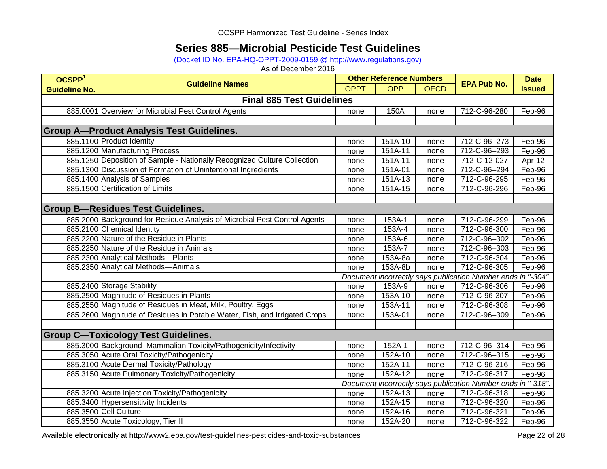## **Series 885—Microbial Pesticide Test Guidelines**

[\(Docket ID No. EPA-HQ-OPPT-2009-0159 @ http://www.regulations.gov\)](http://www.regulations.gov/#!docketDetail;dct=FR+PR+N+O+SR;rpp=10;po=0;D=EPA-HQ-OPPT-2009-0159)

As of December 2016

| OCSPP <sup>1</sup>               | <b>Guideline Names</b>                                                     | <b>Other Reference Numbers</b> |            |             | <b>EPA Pub No.</b>                                           | <b>Date</b>   |  |  |
|----------------------------------|----------------------------------------------------------------------------|--------------------------------|------------|-------------|--------------------------------------------------------------|---------------|--|--|
| <b>Guideline No.</b>             |                                                                            | <b>OPPT</b>                    | <b>OPP</b> | <b>OECD</b> |                                                              | <b>Issued</b> |  |  |
| <b>Final 885 Test Guidelines</b> |                                                                            |                                |            |             |                                                              |               |  |  |
|                                  | 885.0001 Overview for Microbial Pest Control Agents                        | none                           | 150A       | none        | 712-C-96-280                                                 | Feb-96        |  |  |
|                                  |                                                                            |                                |            |             |                                                              |               |  |  |
|                                  | <b>Group A-Product Analysis Test Guidelines.</b>                           |                                |            |             |                                                              |               |  |  |
|                                  | 885.1100 Product Identity                                                  | none                           | 151A-10    | none        | 712-C-96-273                                                 | Feb-96        |  |  |
|                                  | 885.1200 Manufacturing Process                                             | none                           | 151A-11    | none        | 712-C-96-293                                                 | Feb-96        |  |  |
|                                  | 885.1250 Deposition of Sample - Nationally Recognized Culture Collection   | none                           | 151A-11    | none        | 712-C-12-027                                                 | Apr-12        |  |  |
|                                  | 885.1300 Discussion of Formation of Unintentional Ingredients              | none                           | 151A-01    | none        | 712-C-96-294                                                 | Feb-96        |  |  |
|                                  | 885.1400 Analysis of Samples                                               | none                           | 151A-13    | none        | 712-C-96-295                                                 | Feb-96        |  |  |
|                                  | 885.1500 Certification of Limits                                           | none                           | 151A-15    | none        | 712-C-96-296                                                 | Feb-96        |  |  |
|                                  |                                                                            |                                |            |             |                                                              |               |  |  |
|                                  | <b>Group B-Residues Test Guidelines.</b>                                   |                                |            |             |                                                              |               |  |  |
|                                  | 885.2000 Background for Residue Analysis of Microbial Pest Control Agents  | none                           | 153A-1     | none        | 712-C-96-299                                                 | Feb-96        |  |  |
|                                  | 885.2100 Chemical Identity                                                 | none                           | 153A-4     | none        | 712-C-96-300                                                 | Feb-96        |  |  |
|                                  | 885.2200 Nature of the Residue in Plants                                   | none                           | 153A-6     | none        | 712-C-96-302                                                 | Feb-96        |  |  |
|                                  | 885.2250 Nature of the Residue in Animals                                  | none                           | 153A-7     | none        | 712-C-96-303                                                 | Feb-96        |  |  |
|                                  | 885.2300 Analytical Methods-Plants                                         | none                           | 153A-8a    | none        | 712-C-96-304                                                 | Feb-96        |  |  |
|                                  | 885.2350 Analytical Methods-Animals                                        | none                           | 153A-8b    | none        | 712-C-96-305                                                 | Feb-96        |  |  |
|                                  |                                                                            |                                |            |             | Document incorrectly says publication Number ends in "-304". |               |  |  |
|                                  | 885.2400 Storage Stability                                                 | none                           | 153A-9     | none        | 712-C-96-306                                                 | Feb-96        |  |  |
|                                  | 885.2500 Magnitude of Residues in Plants                                   | none                           | 153A-10    | none        | 712-C-96-307                                                 | Feb-96        |  |  |
|                                  | 885.2550 Magnitude of Residues in Meat, Milk, Poultry, Eggs                | none                           | 153A-11    | none        | 712-C-96-308                                                 | Feb-96        |  |  |
|                                  | 885.2600 Magnitude of Residues in Potable Water, Fish, and Irrigated Crops | none                           | 153A-01    | none        | 712-C-96-309                                                 | Feb-96        |  |  |
|                                  |                                                                            |                                |            |             |                                                              |               |  |  |
|                                  | <b>Group C-Toxicology Test Guidelines.</b>                                 |                                |            |             |                                                              |               |  |  |
|                                  | 885.3000 Background-Mammalian Toxicity/Pathogenicity/Infectivity           | none                           | 152A-1     | none        | 712-C-96-314                                                 | Feb-96        |  |  |
|                                  | 885.3050 Acute Oral Toxicity/Pathogenicity                                 | none                           | 152A-10    | none        | 712-C-96-315                                                 | Feb-96        |  |  |
|                                  | 885.3100 Acute Dermal Toxicity/Pathology                                   | none                           | $152A-11$  | none        | 712-C-96-316                                                 | Feb-96        |  |  |
|                                  | 885.3150 Acute Pulmonary Toxicity/Pathogenicity                            | none                           | $152A-12$  | none        | 712-C-96-317                                                 | Feb-96        |  |  |
|                                  |                                                                            |                                |            |             | Document incorrectly says publication Number ends in "-318". |               |  |  |
|                                  | 885.3200 Acute Injection Toxicity/Pathogenicity                            | none                           | 152A-13    | none        | 712-C-96-318                                                 | Feb-96        |  |  |
|                                  | 885.3400 Hypersensitivity Incidents                                        | none                           | 152A-15    | none        | 712-C-96-320                                                 | Feb-96        |  |  |
|                                  | 885.3500 Cell Culture                                                      | none                           | 152A-16    | none        | 712-C-96-321                                                 | Feb-96        |  |  |
|                                  | 885.3550 Acute Toxicology, Tier II                                         | none                           | 152A-20    | none        | 712-C-96-322                                                 | Feb-96        |  |  |

Available electronically at http://www2.epa.gov/test-guidelines-pesticides-and-toxic-substances Page 22 of 28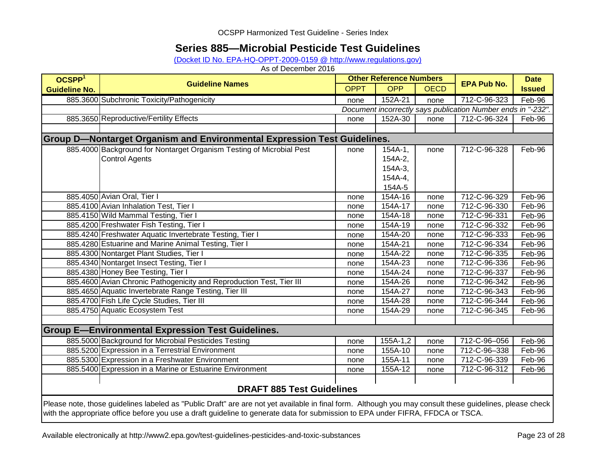## **Series 885—Microbial Pesticide Test Guidelines**

(Docket ID No. EPA-HQ-OPPT-2009-0159 @ http://www.regulations.gov)

| OCSPP <sup>1</sup>   |                                                                                                                                                                                                                                                                                             |                                                              | <b>Other Reference Numbers</b> |      | <b>Date</b>        |               |  |  |  |  |
|----------------------|---------------------------------------------------------------------------------------------------------------------------------------------------------------------------------------------------------------------------------------------------------------------------------------------|--------------------------------------------------------------|--------------------------------|------|--------------------|---------------|--|--|--|--|
| <b>Guideline No.</b> | <b>Guideline Names</b>                                                                                                                                                                                                                                                                      | <b>OPPT</b>                                                  | <b>OPP</b><br><b>OECD</b>      |      | <b>EPA Pub No.</b> | <b>Issued</b> |  |  |  |  |
|                      | 885.3600 Subchronic Toxicity/Pathogenicity                                                                                                                                                                                                                                                  | none                                                         | 152A-21                        | none | 712-C-96-323       | Feb-96        |  |  |  |  |
|                      |                                                                                                                                                                                                                                                                                             | Document incorrectly says publication Number ends in "-232". |                                |      |                    |               |  |  |  |  |
|                      | 885.3650 Reproductive/Fertility Effects                                                                                                                                                                                                                                                     | none                                                         | 152A-30                        | none | 712-C-96-324       | Feb-96        |  |  |  |  |
|                      |                                                                                                                                                                                                                                                                                             |                                                              |                                |      |                    |               |  |  |  |  |
|                      | <b>Group D-Nontarget Organism and Environmental Expression Test Guidelines.</b>                                                                                                                                                                                                             |                                                              |                                |      |                    |               |  |  |  |  |
|                      | 885.4000 Background for Nontarget Organism Testing of Microbial Pest                                                                                                                                                                                                                        | none                                                         | $154A-1,$                      | none | 712-C-96-328       | Feb-96        |  |  |  |  |
|                      | <b>Control Agents</b>                                                                                                                                                                                                                                                                       |                                                              | 154A-2,                        |      |                    |               |  |  |  |  |
|                      |                                                                                                                                                                                                                                                                                             |                                                              | 154A-3,                        |      |                    |               |  |  |  |  |
|                      |                                                                                                                                                                                                                                                                                             |                                                              | 154A-4,                        |      |                    |               |  |  |  |  |
|                      |                                                                                                                                                                                                                                                                                             |                                                              | 154A-5                         |      |                    |               |  |  |  |  |
|                      | 885.4050 Avian Oral, Tier I                                                                                                                                                                                                                                                                 | none                                                         | 154A-16                        | none | 712-C-96-329       | Feb-96        |  |  |  |  |
|                      | 885.4100 Avian Inhalation Test, Tier I                                                                                                                                                                                                                                                      | none                                                         | 154A-17                        | none | 712-C-96-330       | Feb-96        |  |  |  |  |
|                      | 885.4150 Wild Mammal Testing, Tier I                                                                                                                                                                                                                                                        | none                                                         | 154A-18                        | none | 712-C-96-331       | Feb-96        |  |  |  |  |
|                      | 885.4200 Freshwater Fish Testing, Tier I                                                                                                                                                                                                                                                    | none                                                         | 154A-19                        | none | 712-C-96-332       | Feb-96        |  |  |  |  |
|                      | 885.4240 Freshwater Aquatic Invertebrate Testing, Tier I                                                                                                                                                                                                                                    | none                                                         | 154A-20                        | none | 712-C-96-333       | Feb-96        |  |  |  |  |
|                      | 885.4280 Estuarine and Marine Animal Testing, Tier I                                                                                                                                                                                                                                        | none                                                         | 154A-21                        | none | 712-C-96-334       | Feb-96        |  |  |  |  |
|                      | 885.4300 Nontarget Plant Studies, Tier I                                                                                                                                                                                                                                                    | none                                                         | 154A-22                        | none | 712-C-96-335       | Feb-96        |  |  |  |  |
|                      | 885.4340 Nontarget Insect Testing, Tier I                                                                                                                                                                                                                                                   | none                                                         | 154A-23                        | none | 712-C-96-336       | Feb-96        |  |  |  |  |
|                      | 885.4380 Honey Bee Testing, Tier I                                                                                                                                                                                                                                                          | none                                                         | 154A-24                        | none | 712-C-96-337       | Feb-96        |  |  |  |  |
|                      | 885.4600 Avian Chronic Pathogenicity and Reproduction Test, Tier III                                                                                                                                                                                                                        | none                                                         | 154A-26                        | none | 712-C-96-342       | Feb-96        |  |  |  |  |
|                      | 885.4650 Aquatic Invertebrate Range Testing, Tier III                                                                                                                                                                                                                                       | none                                                         | 154A-27                        | none | 712-C-96-343       | Feb-96        |  |  |  |  |
|                      | 885.4700 Fish Life Cycle Studies, Tier III                                                                                                                                                                                                                                                  | none                                                         | 154A-28                        | none | 712-C-96-344       | Feb-96        |  |  |  |  |
|                      | 885.4750 Aquatic Ecosystem Test                                                                                                                                                                                                                                                             | none                                                         | 154A-29                        | none | 712-C-96-345       | Feb-96        |  |  |  |  |
|                      |                                                                                                                                                                                                                                                                                             |                                                              |                                |      |                    |               |  |  |  |  |
|                      | <b>Group E-Environmental Expression Test Guidelines.</b>                                                                                                                                                                                                                                    |                                                              |                                |      |                    |               |  |  |  |  |
|                      | 885.5000 Background for Microbial Pesticides Testing                                                                                                                                                                                                                                        | none                                                         | 155A-1,2                       | none | 712-C-96-056       | Feb-96        |  |  |  |  |
|                      | 885.5200 Expression in a Terrestrial Environment                                                                                                                                                                                                                                            | none                                                         | 155A-10                        | none | 712-C-96-338       | Feb-96        |  |  |  |  |
|                      | 885.5300 Expression in a Freshwater Environment                                                                                                                                                                                                                                             | none                                                         | 155A-11                        | none | 712-C-96-339       | Feb-96        |  |  |  |  |
|                      | 885.5400 Expression in a Marine or Estuarine Environment                                                                                                                                                                                                                                    | none                                                         | 155A-12                        | none | 712-C-96-312       | Feb-96        |  |  |  |  |
|                      |                                                                                                                                                                                                                                                                                             |                                                              |                                |      |                    |               |  |  |  |  |
|                      | <b>DRAFT 885 Test Guidelines</b>                                                                                                                                                                                                                                                            |                                                              |                                |      |                    |               |  |  |  |  |
|                      | Please note, those guidelines labeled as "Public Draft" are are not yet available in final form. Although you may consult these guidelines, please check<br>with the appropriate office before you use a draft guideline to generate data for submission to EPA under FIFRA, FFDCA or TSCA. |                                                              |                                |      |                    |               |  |  |  |  |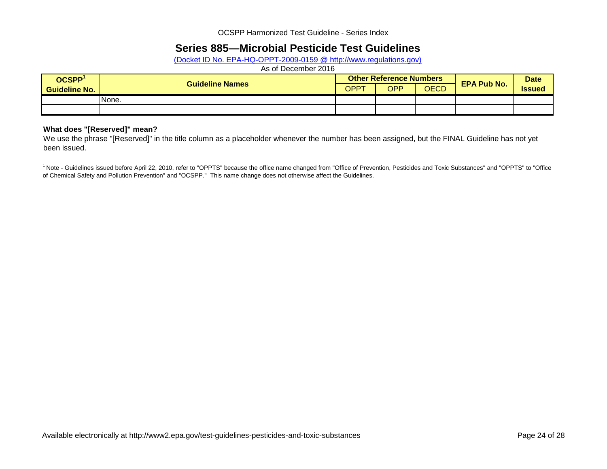## **Series 885—Microbial Pesticide Test Guidelines**

(Docket ID No. EPA-HQ-OPPT-2009-0159 @ http://www.regulations.gov)

### As of December 2016

| <b>OCSPP</b>         |                        |             | <b>Other Reference Numbers</b> | <b>EPA Pub No.</b> | <b>Date</b> |               |
|----------------------|------------------------|-------------|--------------------------------|--------------------|-------------|---------------|
| <b>Guideline No.</b> | <b>Guideline Names</b> | <b>OPPT</b> | <b>OPP</b>                     | <b>OECD</b>        |             | <b>Issued</b> |
|                      | None.                  |             |                                |                    |             |               |
|                      |                        |             |                                |                    |             |               |

#### **What does "[Reserved]" mean?**

We use the phrase "[Reserved]" in the title column as a placeholder whenever the number has been assigned, but the FINAL Guideline has not yet been issued.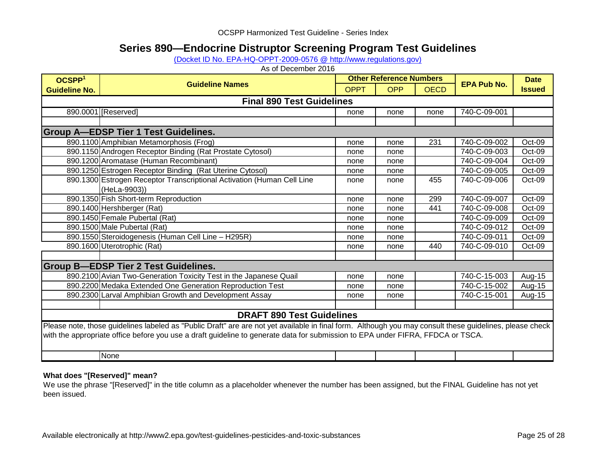## **Series 890—Endocrine Distruptor Screening Program Test Guidelines**

[\(Docket ID No. EPA-HQ-OPPT-2009-0576 @ http://www.regulations.gov\)](http://www.regulations.gov/#!docketDetail;dct=FR+PR+N+O+SR;rpp=10;po=0;D=EPA-HQ-OPPT-2009-0576)

As of December 2016

| OCSPP <sup>1</sup>                          |                                                                                                                                                          |             | <b>Other Reference Numbers</b> |             |                    | <b>Date</b>   |  |  |  |  |  |
|---------------------------------------------|----------------------------------------------------------------------------------------------------------------------------------------------------------|-------------|--------------------------------|-------------|--------------------|---------------|--|--|--|--|--|
| <b>Guideline No.</b>                        | <b>Guideline Names</b>                                                                                                                                   | <b>OPPT</b> | <b>OPP</b>                     | <b>OECD</b> | <b>EPA Pub No.</b> | <b>Issued</b> |  |  |  |  |  |
| <b>Final 890 Test Guidelines</b>            |                                                                                                                                                          |             |                                |             |                    |               |  |  |  |  |  |
|                                             | 890.0001 [Reserved]                                                                                                                                      | none        | none                           | none        | 740-C-09-001       |               |  |  |  |  |  |
|                                             |                                                                                                                                                          |             |                                |             |                    |               |  |  |  |  |  |
| <b>Group A-EDSP Tier 1 Test Guidelines.</b> |                                                                                                                                                          |             |                                |             |                    |               |  |  |  |  |  |
|                                             | 890.1100 Amphibian Metamorphosis (Frog)                                                                                                                  | none        | none                           | 231         | 740-C-09-002       | Oct-09        |  |  |  |  |  |
|                                             | 890.1150 Androgen Receptor Binding (Rat Prostate Cytosol)                                                                                                | none        | none                           |             | 740-C-09-003       | Oct-09        |  |  |  |  |  |
|                                             | 890.1200 Aromatase (Human Recombinant)                                                                                                                   | none        | none                           |             | 740-C-09-004       | Oct-09        |  |  |  |  |  |
|                                             | 890.1250 Estrogen Receptor Binding (Rat Uterine Cytosol)                                                                                                 | none        | none                           |             | 740-C-09-005       | Oct-09        |  |  |  |  |  |
|                                             | 890.1300 Estrogen Receptor Transcriptional Activation (Human Cell Line                                                                                   | none        | none                           | 455         | 740-C-09-006       | Oct-09        |  |  |  |  |  |
|                                             | (HeLa-9903))                                                                                                                                             |             |                                |             |                    |               |  |  |  |  |  |
|                                             | 890.1350 Fish Short-term Reproduction                                                                                                                    | none        | none                           | 299         | 740-C-09-007       | Oct-09        |  |  |  |  |  |
|                                             | 890.1400 Hershberger (Rat)                                                                                                                               | none        | none                           | 441         | 740-C-09-008       | Oct-09        |  |  |  |  |  |
|                                             | 890.1450 Female Pubertal (Rat)                                                                                                                           | none        | none                           |             | 740-C-09-009       | Oct-09        |  |  |  |  |  |
|                                             | 890.1500 Male Pubertal (Rat)                                                                                                                             | none        | none                           |             | 740-C-09-012       | Oct-09        |  |  |  |  |  |
|                                             | 890.1550 Steroidogenesis (Human Cell Line - H295R)                                                                                                       | none        | none                           |             | 740-C-09-011       | $Oct-09$      |  |  |  |  |  |
|                                             | 890.1600 Uterotrophic (Rat)                                                                                                                              | none        | none                           | 440         | 740-C-09-010       | Oct-09        |  |  |  |  |  |
|                                             |                                                                                                                                                          |             |                                |             |                    |               |  |  |  |  |  |
|                                             | <b>Group B-EDSP Tier 2 Test Guidelines.</b>                                                                                                              |             |                                |             |                    |               |  |  |  |  |  |
|                                             | 890.2100 Avian Two-Generation Toxicity Test in the Japanese Quail                                                                                        | none        | none                           |             | 740-C-15-003       | Aug-15        |  |  |  |  |  |
|                                             | 890.2200 Medaka Extended One Generation Reproduction Test                                                                                                | none        | none                           |             | 740-C-15-002       | Aug-15        |  |  |  |  |  |
|                                             | 890.2300 Larval Amphibian Growth and Development Assay                                                                                                   | none        | none                           |             | 740-C-15-001       | Aug-15        |  |  |  |  |  |
|                                             |                                                                                                                                                          |             |                                |             |                    |               |  |  |  |  |  |
|                                             | <b>DRAFT 890 Test Guidelines</b>                                                                                                                         |             |                                |             |                    |               |  |  |  |  |  |
|                                             | Please note, those guidelines labeled as "Public Draft" are are not yet available in final form. Although you may consult these guidelines, please check |             |                                |             |                    |               |  |  |  |  |  |
|                                             | with the appropriate office before you use a draft guideline to generate data for submission to EPA under FIFRA, FFDCA or TSCA.                          |             |                                |             |                    |               |  |  |  |  |  |
|                                             |                                                                                                                                                          |             |                                |             |                    |               |  |  |  |  |  |
|                                             | None                                                                                                                                                     |             |                                |             |                    |               |  |  |  |  |  |

### **What does "[Reserved]" mean?**

We use the phrase "[Reserved]" in the title column as a placeholder whenever the number has been assigned, but the FINAL Guideline has not yet been issued.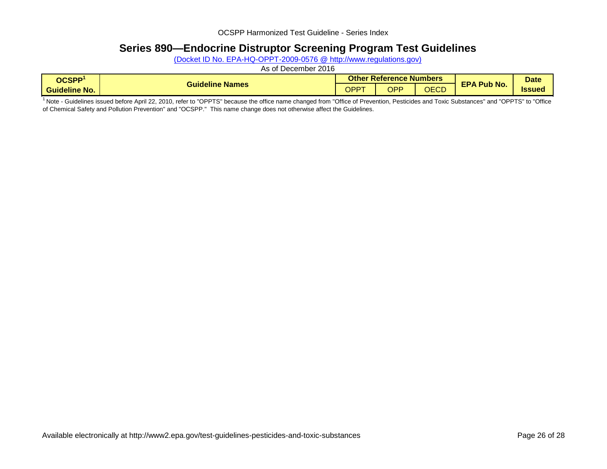## **Series 890—Endocrine Distruptor Screening Program Test Guidelines**

(Docket ID No. EPA-HQ-OPPT-2009-0576 @ http://www.regulations.gov)

As of December 2016

| <b>OCSPP</b>         |                           |     | <b>Other Reference Numbers</b> |                | <b>Date</b>        |              |
|----------------------|---------------------------|-----|--------------------------------|----------------|--------------------|--------------|
| <b>Guideline No.</b> | <b>Names</b><br>Guideline | OPP | OPP                            | $\cap$<br>しடしし | <b>EPA Pub No.</b> | <b>Issue</b> |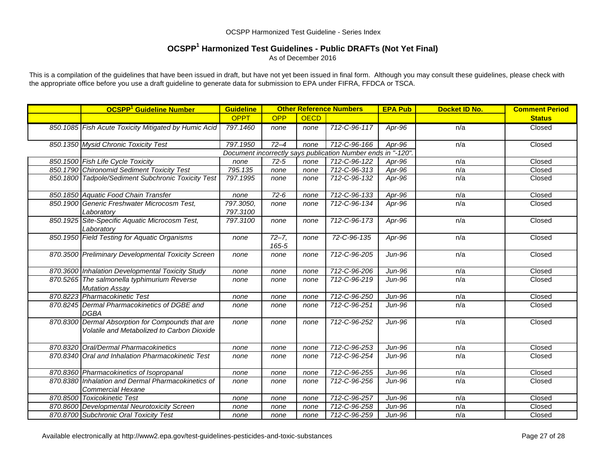## **OCSPP1 Harmonized Test Guidelines - Public DRAFTs (Not Yet Final)**

As of December 2016

This is a compilation of the guidelines that have been issued in draft, but have not yet been issued in final form. Although you may consult these guidelines, please check with the appropriate office before you use a draft guideline to generate data for submission to EPA under FIFRA, FFDCA or TSCA.

| <b>OCSPP<sup>1</sup></b> Guideline Number                                                       | <b>Guideline</b>      |                    | <b>Other Reference Numbers</b> |                                                              | <b>EPA Pub</b> | Docket ID No. | <b>Comment Period</b> |
|-------------------------------------------------------------------------------------------------|-----------------------|--------------------|--------------------------------|--------------------------------------------------------------|----------------|---------------|-----------------------|
|                                                                                                 | <b>OPPT</b>           | <b>OPP</b>         | <b>OECD</b>                    |                                                              |                |               | <b>Status</b>         |
| 850.1085 Fish Acute Toxicity Mitigated by Humic Acid                                            | 797.1460              | none               | none                           | 712-C-96-117                                                 | Apr-96         | n/a           | Closed                |
| 850.1350 Mysid Chronic Toxicity Test                                                            | 797.1950              | $72 - 4$           | none                           | 712-C-96-166                                                 | Apr-96         | n/a           | Closed                |
|                                                                                                 |                       |                    |                                | Document incorrectly says publication Number ends in "-120". |                |               |                       |
| 850.1500 Fish Life Cycle Toxicity                                                               | none                  | $72 - 5$           | none                           | 712-C-96-122                                                 | Apr-96         | n/a           | Closed                |
| 850.1790 Chironomid Sediment Toxicity Test                                                      | 795.135               | none               | none                           | 712-C-96-313                                                 | Apr-96         | n/a           | Closed                |
| 850.1800 Tadpole/Sediment Subchronic Toxicity Test                                              | 797.1995              | none               | none                           | 712-C-96-132                                                 | Apr-96         | n/a           | Closed                |
| 850.1850 Aquatic Food Chain Transfer                                                            | none                  | $72-6$             | none                           | 712-C-96-133                                                 | Apr-96         | n/a           | Closed                |
| 850.1900 Generic Freshwater Microcosm Test,<br>Laboratory                                       | 797.3050,<br>797.3100 | none               | none                           | 712-C-96-134                                                 | Apr-96         | n/a           | Closed                |
| 850.1925 Site-Specific Aquatic Microcosm Test,<br>Laboratory                                    | 797.3100              | none               | none                           | 712-C-96-173                                                 | Apr-96         | n/a           | Closed                |
| 850.1950 Field Testing for Aquatic Organisms                                                    | none                  | $72 - 7,$<br>165-5 | none                           | 72-C-96-135                                                  | Apr-96         | n/a           | Closed                |
| 870.3500 Preliminary Developmental Toxicity Screen                                              | none                  | none               | none                           | 712-C-96-205                                                 | Jun-96         | n/a           | Closed                |
| 870.3600 Inhalation Developmental Toxicity Study                                                | none                  | none               | none                           | 712-C-96-206                                                 | <b>Jun-96</b>  | n/a           | Closed                |
| 870.5265 The salmonella typhimurium Reverse<br><b>Mutation Assay</b>                            | none                  | none               | none                           | 712-C-96-219                                                 | $Jun-96$       | n/a           | Closed                |
| 870.8223 Pharmacokinetic Test                                                                   | none                  | none               | none                           | 712-C-96-250                                                 | Jun-96         | n/a           | Closed                |
| 870.8245 Dermal Pharmacokinetics of DGBE and<br><b>DGBA</b>                                     | none                  | none               | none                           | 712-C-96-251                                                 | Jun-96         | n/a           | Closed                |
| 870.8300 Dermal Absorption for Compounds that are<br>Volatile and Metabolized to Carbon Dioxide | none                  | none               | none                           | 712-C-96-252                                                 | Jun-96         | n/a           | Closed                |
| 870.8320 Oral/Dermal Pharmacokinetics                                                           | none                  | none               | none                           | 712-C-96-253                                                 | <b>Jun-96</b>  | n/a           | Closed                |
| 870.8340 Oral and Inhalation Pharmacokinetic Test                                               | none                  | none               | none                           | 712-C-96-254                                                 | Jun-96         | n/a           | Closed                |
| 870.8360 Pharmacokinetics of Isopropanal                                                        | none                  | none               | none                           | 712-C-96-255                                                 | <b>Jun-96</b>  | n/a           | Closed                |
| 870.8380 Inhalation and Dermal Pharmacokinetics of<br><b>Commercial Hexane</b>                  | none                  | none               | none                           | 712-C-96-256                                                 | Jun-96         | n/a           | Closed                |
| 870.8500 Toxicokinetic Test                                                                     | none                  | none               | none                           | 712-C-96-257                                                 | <b>Jun-96</b>  | n/a           | Closed                |
| 870.8600 Developmental Neurotoxicity Screen                                                     | none                  | none               | none                           | 712-C-96-258                                                 | Jun-96         | n/a           | Closed                |
| 870.8700 Subchronic Oral Toxicity Test                                                          | none                  | none               | none                           | 712-C-96-259                                                 | Jun-96         | n/a           | Closed                |